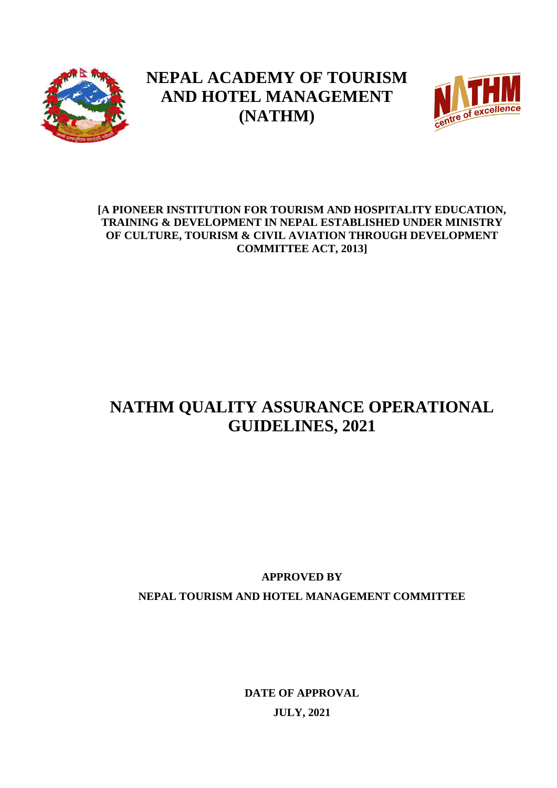

# **NEPAL ACADEMY OF TOURISM AND HOTEL MANAGEMENT (NATHM)**



# **[A PIONEER INSTITUTION FOR TOURISM AND HOSPITALITY EDUCATION, TRAINING & DEVELOPMENT IN NEPAL ESTABLISHED UNDER MINISTRY OF CULTURE, TOURISM & CIVIL AVIATION THROUGH DEVELOPMENT COMMITTEE ACT, 2013]**

# **NATHM QUALITY ASSURANCE OPERATIONAL GUIDELINES, 2021**

**APPROVED BY NEPAL TOURISM AND HOTEL MANAGEMENT COMMITTEE**

> **DATE OF APPROVAL JULY, 2021**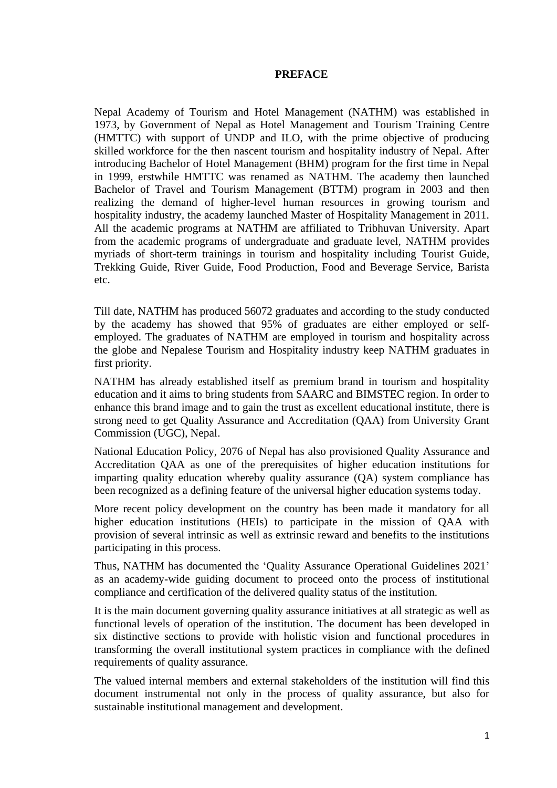#### **PREFACE**

Nepal Academy of Tourism and Hotel Management (NATHM) was established in 1973, by Government of Nepal as Hotel Management and Tourism Training Centre (HMTTC) with support of UNDP and ILO, with the prime objective of producing skilled workforce for the then nascent tourism and hospitality industry of Nepal. After introducing Bachelor of Hotel Management (BHM) program for the first time in Nepal in 1999, erstwhile HMTTC was renamed as NATHM. The academy then launched Bachelor of Travel and Tourism Management (BTTM) program in 2003 and then realizing the demand of higher-level human resources in growing tourism and hospitality industry, the academy launched Master of Hospitality Management in 2011. All the academic programs at NATHM are affiliated to Tribhuvan University. Apart from the academic programs of undergraduate and graduate level, NATHM provides myriads of short-term trainings in tourism and hospitality including Tourist Guide, Trekking Guide, River Guide, Food Production, Food and Beverage Service, Barista etc.

Till date, NATHM has produced 56072 graduates and according to the study conducted by the academy has showed that 95% of graduates are either employed or selfemployed. The graduates of NATHM are employed in tourism and hospitality across the globe and Nepalese Tourism and Hospitality industry keep NATHM graduates in first priority.

NATHM has already established itself as premium brand in tourism and hospitality education and it aims to bring students from SAARC and BIMSTEC region. In order to enhance this brand image and to gain the trust as excellent educational institute, there is strong need to get Quality Assurance and Accreditation (QAA) from University Grant Commission (UGC), Nepal.

National Education Policy, 2076 of Nepal has also provisioned Quality Assurance and Accreditation QAA as one of the prerequisites of higher education institutions for imparting quality education whereby quality assurance (QA) system compliance has been recognized as a defining feature of the universal higher education systems today.

More recent policy development on the country has been made it mandatory for all higher education institutions (HEIs) to participate in the mission of QAA with provision of several intrinsic as well as extrinsic reward and benefits to the institutions participating in this process.

Thus, NATHM has documented the 'Quality Assurance Operational Guidelines 2021' as an academy-wide guiding document to proceed onto the process of institutional compliance and certification of the delivered quality status of the institution.

It is the main document governing quality assurance initiatives at all strategic as well as functional levels of operation of the institution. The document has been developed in six distinctive sections to provide with holistic vision and functional procedures in transforming the overall institutional system practices in compliance with the defined requirements of quality assurance.

The valued internal members and external stakeholders of the institution will find this document instrumental not only in the process of quality assurance, but also for sustainable institutional management and development.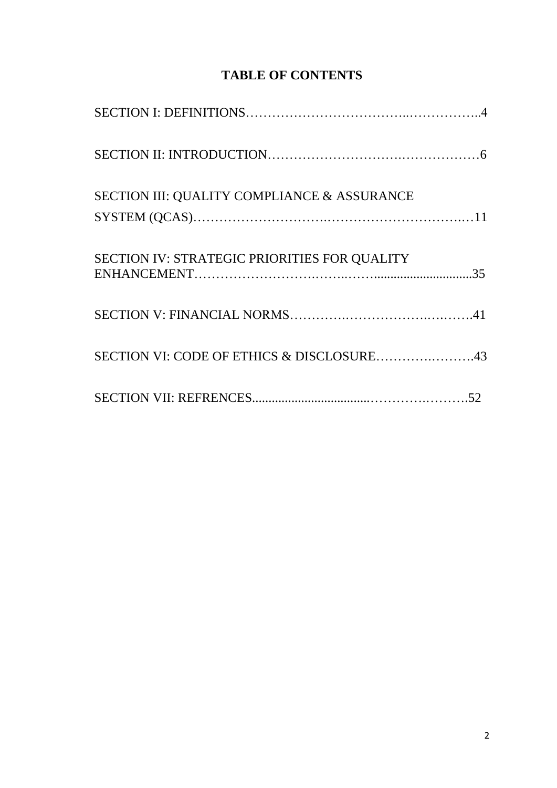| <b>TABLE OF CONTENTS</b> |
|--------------------------|
|--------------------------|

| SECTION III: QUALITY COMPLIANCE & ASSURANCE  |  |
|----------------------------------------------|--|
|                                              |  |
| SECTION IV: STRATEGIC PRIORITIES FOR QUALITY |  |
|                                              |  |
| SECTION VI: CODE OF ETHICS & DISCLOSURE43    |  |
|                                              |  |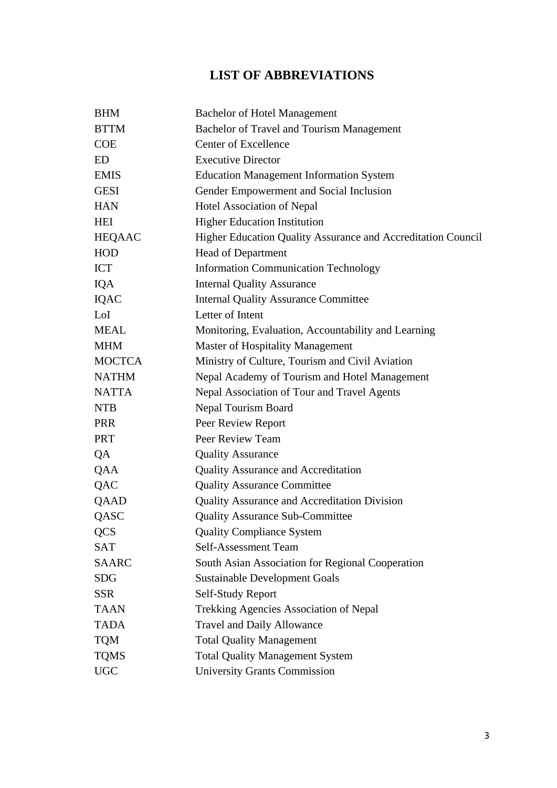# **LIST OF ABBREVIATIONS**

| <b>BHM</b>    | <b>Bachelor of Hotel Management</b>                          |
|---------------|--------------------------------------------------------------|
| <b>BTTM</b>   | <b>Bachelor of Travel and Tourism Management</b>             |
| <b>COE</b>    | <b>Center of Excellence</b>                                  |
| <b>ED</b>     | <b>Executive Director</b>                                    |
| <b>EMIS</b>   | <b>Education Management Information System</b>               |
| <b>GESI</b>   | Gender Empowerment and Social Inclusion                      |
| <b>HAN</b>    | Hotel Association of Nepal                                   |
| HEI           | <b>Higher Education Institution</b>                          |
| <b>HEQAAC</b> | Higher Education Quality Assurance and Accreditation Council |
| <b>HOD</b>    | Head of Department                                           |
| <b>ICT</b>    | <b>Information Communication Technology</b>                  |
| <b>IQA</b>    | <b>Internal Quality Assurance</b>                            |
| <b>IQAC</b>   | <b>Internal Quality Assurance Committee</b>                  |
| LoI           | Letter of Intent                                             |
| <b>MEAL</b>   | Monitoring, Evaluation, Accountability and Learning          |
| <b>MHM</b>    | Master of Hospitality Management                             |
| <b>MOCTCA</b> | Ministry of Culture, Tourism and Civil Aviation              |
| <b>NATHM</b>  | Nepal Academy of Tourism and Hotel Management                |
| <b>NATTA</b>  | Nepal Association of Tour and Travel Agents                  |
| <b>NTB</b>    | Nepal Tourism Board                                          |
| <b>PRR</b>    | Peer Review Report                                           |
| <b>PRT</b>    | Peer Review Team                                             |
| QA            | <b>Quality Assurance</b>                                     |
| QAA           | <b>Quality Assurance and Accreditation</b>                   |
| QAC           | <b>Quality Assurance Committee</b>                           |
| QAAD          | Quality Assurance and Accreditation Division                 |
| QASC          | <b>Quality Assurance Sub-Committee</b>                       |
| <b>QCS</b>    | <b>Quality Compliance System</b>                             |
| <b>SAT</b>    | Self-Assessment Team                                         |
| <b>SAARC</b>  | South Asian Association for Regional Cooperation             |
| <b>SDG</b>    | <b>Sustainable Development Goals</b>                         |
| <b>SSR</b>    | Self-Study Report                                            |
| <b>TAAN</b>   | Trekking Agencies Association of Nepal                       |
| <b>TADA</b>   | <b>Travel and Daily Allowance</b>                            |
| <b>TQM</b>    | <b>Total Quality Management</b>                              |
| <b>TQMS</b>   | <b>Total Quality Management System</b>                       |
| <b>UGC</b>    | <b>University Grants Commission</b>                          |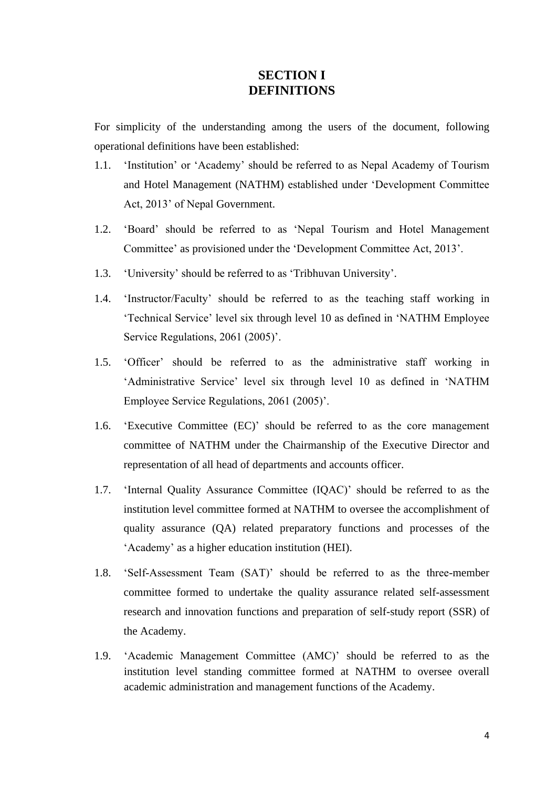# **SECTION I DEFINITIONS**

For simplicity of the understanding among the users of the document, following operational definitions have been established:

- 1.1. 'Institution' or 'Academy' should be referred to as Nepal Academy of Tourism and Hotel Management (NATHM) established under 'Development Committee Act, 2013' of Nepal Government.
- 1.2. 'Board' should be referred to as 'Nepal Tourism and Hotel Management Committee' as provisioned under the 'Development Committee Act, 2013'.
- 1.3. 'University' should be referred to as 'Tribhuvan University'.
- 1.4. 'Instructor/Faculty' should be referred to as the teaching staff working in 'Technical Service' level six through level 10 as defined in 'NATHM Employee Service Regulations, 2061 (2005)'.
- 1.5. 'Officer' should be referred to as the administrative staff working in 'Administrative Service' level six through level 10 as defined in 'NATHM Employee Service Regulations, 2061 (2005)'.
- 1.6. 'Executive Committee (EC)' should be referred to as the core management committee of NATHM under the Chairmanship of the Executive Director and representation of all head of departments and accounts officer.
- 1.7. 'Internal Quality Assurance Committee (IQAC)' should be referred to as the institution level committee formed at NATHM to oversee the accomplishment of quality assurance (QA) related preparatory functions and processes of the 'Academy' as a higher education institution (HEI).
- 1.8. 'Self-Assessment Team (SAT)' should be referred to as the three-member committee formed to undertake the quality assurance related self-assessment research and innovation functions and preparation of self-study report (SSR) of the Academy.
- 1.9. 'Academic Management Committee (AMC)' should be referred to as the institution level standing committee formed at NATHM to oversee overall academic administration and management functions of the Academy.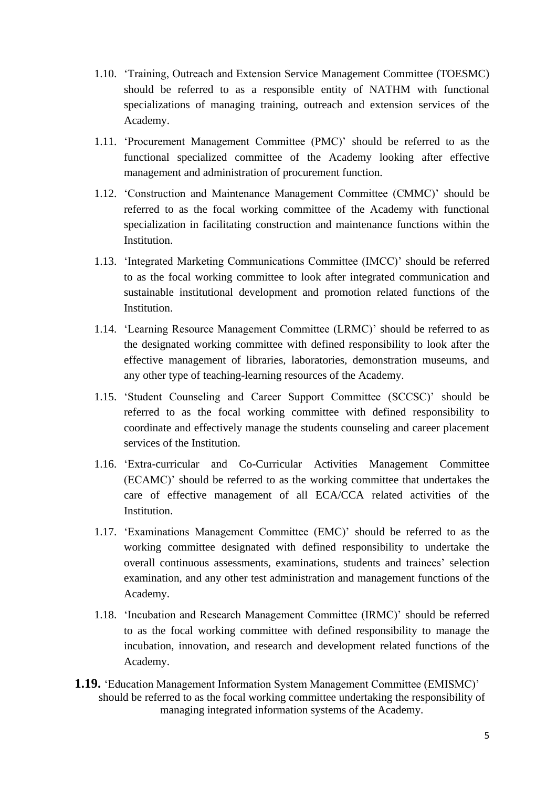- 1.10. 'Training, Outreach and Extension Service Management Committee (TOESMC) should be referred to as a responsible entity of NATHM with functional specializations of managing training, outreach and extension services of the Academy.
- 1.11. 'Procurement Management Committee (PMC)' should be referred to as the functional specialized committee of the Academy looking after effective management and administration of procurement function.
- 1.12. 'Construction and Maintenance Management Committee (CMMC)' should be referred to as the focal working committee of the Academy with functional specialization in facilitating construction and maintenance functions within the Institution.
- 1.13. 'Integrated Marketing Communications Committee (IMCC)' should be referred to as the focal working committee to look after integrated communication and sustainable institutional development and promotion related functions of the Institution.
- 1.14. 'Learning Resource Management Committee (LRMC)' should be referred to as the designated working committee with defined responsibility to look after the effective management of libraries, laboratories, demonstration museums, and any other type of teaching-learning resources of the Academy.
- 1.15. 'Student Counseling and Career Support Committee (SCCSC)' should be referred to as the focal working committee with defined responsibility to coordinate and effectively manage the students counseling and career placement services of the Institution.
- 1.16. 'Extra-curricular and Co-Curricular Activities Management Committee (ECAMC)' should be referred to as the working committee that undertakes the care of effective management of all ECA/CCA related activities of the Institution.
- 1.17. 'Examinations Management Committee (EMC)' should be referred to as the working committee designated with defined responsibility to undertake the overall continuous assessments, examinations, students and trainees' selection examination, and any other test administration and management functions of the Academy.
- 1.18. 'Incubation and Research Management Committee (IRMC)' should be referred to as the focal working committee with defined responsibility to manage the incubation, innovation, and research and development related functions of the Academy.
- **1.19.** 'Education Management Information System Management Committee (EMISMC)' should be referred to as the focal working committee undertaking the responsibility of managing integrated information systems of the Academy.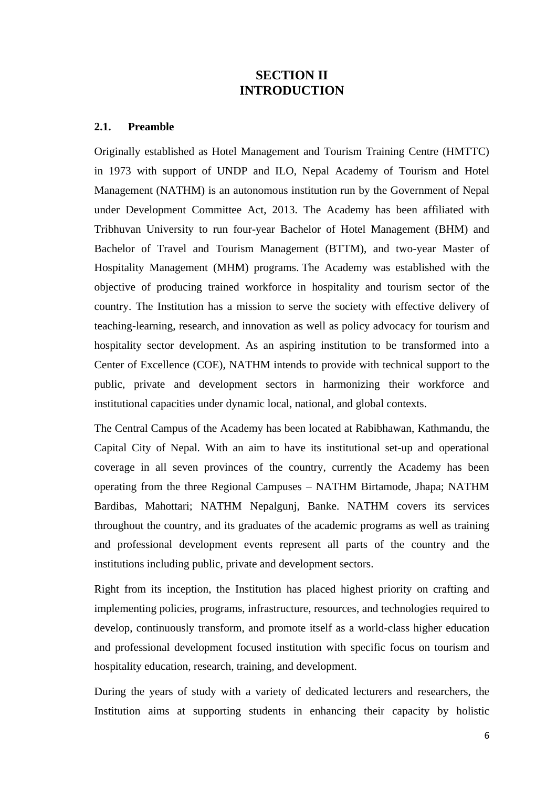# **SECTION II INTRODUCTION**

#### **2.1. Preamble**

Originally established as Hotel Management and Tourism Training Centre (HMTTC) in 1973 with support of UNDP and ILO, Nepal Academy of Tourism and Hotel Management (NATHM) is an autonomous institution run by the Government of Nepal under Development Committee Act, 2013. The Academy has been affiliated with Tribhuvan University to run four-year Bachelor of Hotel Management (BHM) and Bachelor of Travel and Tourism Management (BTTM), and two-year Master of Hospitality Management (MHM) programs. The Academy was established with the objective of producing trained workforce in hospitality and tourism sector of the country. The Institution has a mission to serve the society with effective delivery of teaching-learning, research, and innovation as well as policy advocacy for tourism and hospitality sector development. As an aspiring institution to be transformed into a Center of Excellence (COE), NATHM intends to provide with technical support to the public, private and development sectors in harmonizing their workforce and institutional capacities under dynamic local, national, and global contexts.

The Central Campus of the Academy has been located at Rabibhawan, Kathmandu, the Capital City of Nepal*.* With an aim to have its institutional set-up and operational coverage in all seven provinces of the country, currently the Academy has been operating from the three Regional Campuses – NATHM Birtamode, Jhapa; NATHM Bardibas, Mahottari; NATHM Nepalgunj, Banke. NATHM covers its services throughout the country, and its graduates of the academic programs as well as training and professional development events represent all parts of the country and the institutions including public, private and development sectors.

Right from its inception, the Institution has placed highest priority on crafting and implementing policies, programs, infrastructure, resources, and technologies required to develop, continuously transform, and promote itself as a world-class higher education and professional development focused institution with specific focus on tourism and hospitality education, research, training, and development.

During the years of study with a variety of dedicated lecturers and researchers, the Institution aims at supporting students in enhancing their capacity by holistic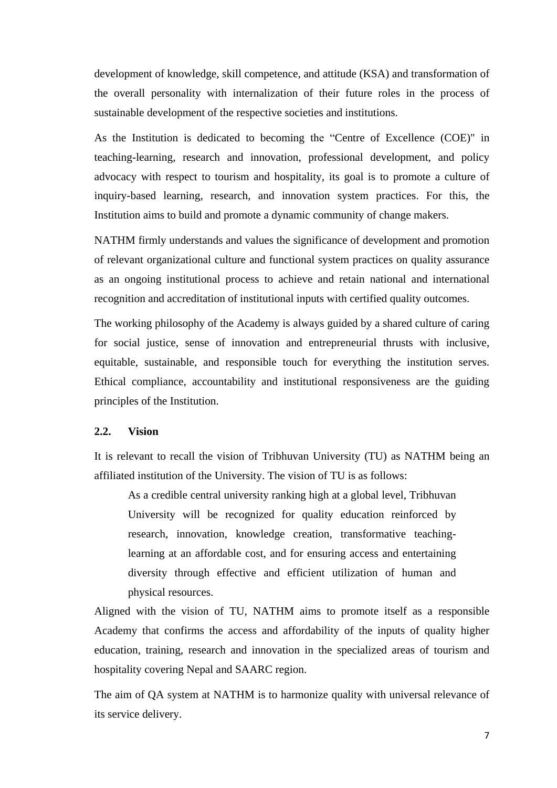development of knowledge, skill competence, and attitude (KSA) and transformation of the overall personality with internalization of their future roles in the process of sustainable development of the respective societies and institutions.

As the Institution is dedicated to becoming the "Centre of Excellence (COE)" in teaching-learning, research and innovation, professional development, and policy advocacy with respect to tourism and hospitality, its goal is to promote a culture of inquiry-based learning, research, and innovation system practices. For this, the Institution aims to build and promote a dynamic community of change makers.

NATHM firmly understands and values the significance of development and promotion of relevant organizational culture and functional system practices on quality assurance as an ongoing institutional process to achieve and retain national and international recognition and accreditation of institutional inputs with certified quality outcomes.

The working philosophy of the Academy is always guided by a shared culture of caring for social justice, sense of innovation and entrepreneurial thrusts with inclusive, equitable, sustainable, and responsible touch for everything the institution serves. Ethical compliance, accountability and institutional responsiveness are the guiding principles of the Institution.

#### **2.2. Vision**

It is relevant to recall the vision of Tribhuvan University (TU) as NATHM being an affiliated institution of the University. The vision of TU is as follows:

As a credible central university ranking high at a global level, Tribhuvan University will be recognized for quality education reinforced by research, innovation, knowledge creation, transformative teachinglearning at an affordable cost, and for ensuring access and entertaining diversity through effective and efficient utilization of human and physical resources.

Aligned with the vision of TU, NATHM aims to promote itself as a responsible Academy that confirms the access and affordability of the inputs of quality higher education, training, research and innovation in the specialized areas of tourism and hospitality covering Nepal and SAARC region.

The aim of QA system at NATHM is to harmonize quality with universal relevance of its service delivery.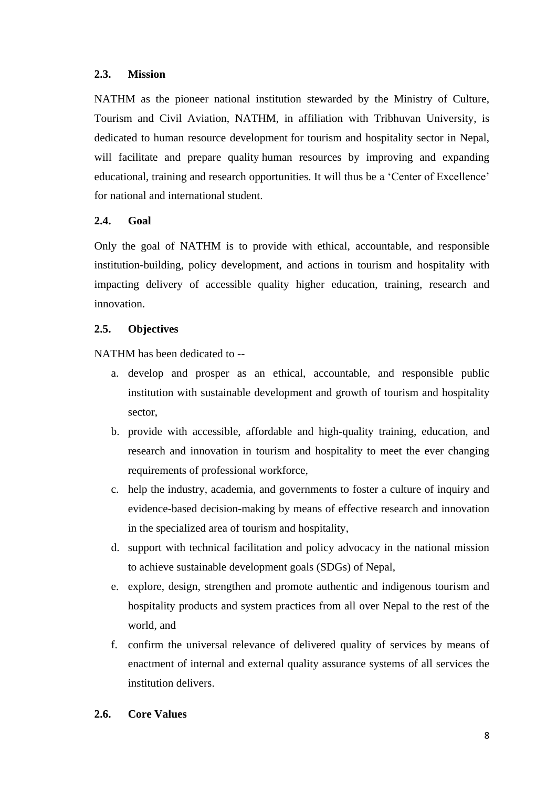#### **2.3. Mission**

NATHM as the pioneer national institution stewarded by the Ministry of Culture, Tourism and Civil Aviation, NATHM, in affiliation with Tribhuvan University, is dedicated to human resource development for tourism and hospitality sector in Nepal, will facilitate and prepare quality human resources by improving and expanding educational, training and research opportunities. It will thus be a 'Center of Excellence' for national and international student.

# **2.4. Goal**

Only the goal of NATHM is to provide with ethical, accountable, and responsible institution-building, policy development, and actions in tourism and hospitality with impacting delivery of accessible quality higher education, training, research and innovation.

## **2.5. Objectives**

NATHM has been dedicated to --

- a. develop and prosper as an ethical, accountable, and responsible public institution with sustainable development and growth of tourism and hospitality sector,
- b. provide with accessible, affordable and high-quality training, education, and research and innovation in tourism and hospitality to meet the ever changing requirements of professional workforce,
- c. help the industry, academia, and governments to foster a culture of inquiry and evidence-based decision-making by means of effective research and innovation in the specialized area of tourism and hospitality,
- d. support with technical facilitation and policy advocacy in the national mission to achieve sustainable development goals (SDGs) of Nepal,
- e. explore, design, strengthen and promote authentic and indigenous tourism and hospitality products and system practices from all over Nepal to the rest of the world, and
- f. confirm the universal relevance of delivered quality of services by means of enactment of internal and external quality assurance systems of all services the institution delivers.

#### **2.6. Core Values**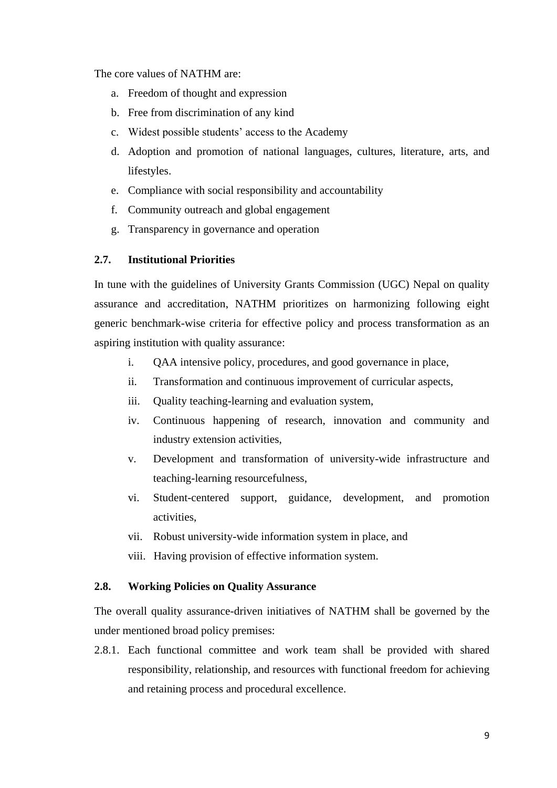The core values of NATHM are:

- a. Freedom of thought and expression
- b. Free from discrimination of any kind
- c. Widest possible students' access to the Academy
- d. Adoption and promotion of national languages, cultures, literature, arts, and lifestyles.
- e. Compliance with social responsibility and accountability
- f. Community outreach and global engagement
- g. Transparency in governance and operation

## **2.7. Institutional Priorities**

In tune with the guidelines of University Grants Commission (UGC) Nepal on quality assurance and accreditation, NATHM prioritizes on harmonizing following eight generic benchmark-wise criteria for effective policy and process transformation as an aspiring institution with quality assurance:

- i. QAA intensive policy, procedures, and good governance in place,
- ii. Transformation and continuous improvement of curricular aspects,
- iii. Quality teaching-learning and evaluation system,
- iv. Continuous happening of research, innovation and community and industry extension activities,
- v. Development and transformation of university-wide infrastructure and teaching-learning resourcefulness,
- vi. Student-centered support, guidance, development, and promotion activities,
- vii. Robust university-wide information system in place, and
- viii. Having provision of effective information system.

#### **2.8. Working Policies on Quality Assurance**

The overall quality assurance-driven initiatives of NATHM shall be governed by the under mentioned broad policy premises:

2.8.1. Each functional committee and work team shall be provided with shared responsibility, relationship, and resources with functional freedom for achieving and retaining process and procedural excellence.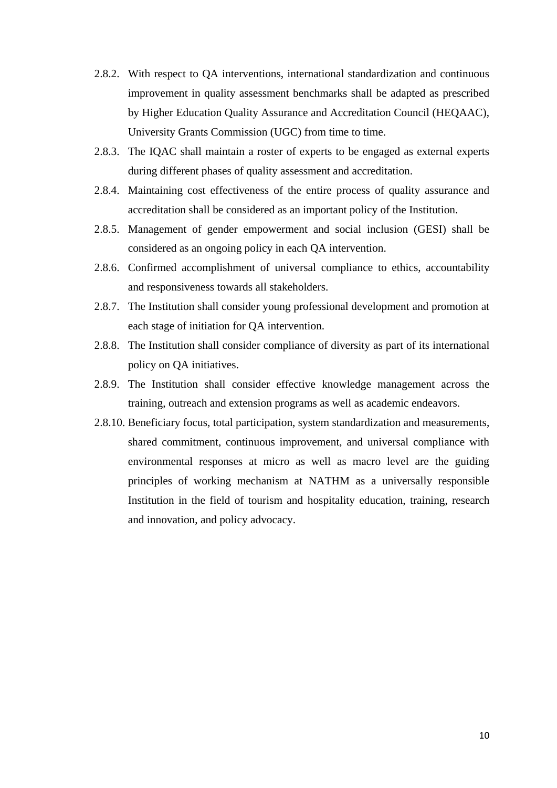- 2.8.2. With respect to QA interventions, international standardization and continuous improvement in quality assessment benchmarks shall be adapted as prescribed by Higher Education Quality Assurance and Accreditation Council (HEQAAC), University Grants Commission (UGC) from time to time.
- 2.8.3. The IQAC shall maintain a roster of experts to be engaged as external experts during different phases of quality assessment and accreditation.
- 2.8.4. Maintaining cost effectiveness of the entire process of quality assurance and accreditation shall be considered as an important policy of the Institution.
- 2.8.5. Management of gender empowerment and social inclusion (GESI) shall be considered as an ongoing policy in each QA intervention.
- 2.8.6. Confirmed accomplishment of universal compliance to ethics, accountability and responsiveness towards all stakeholders.
- 2.8.7. The Institution shall consider young professional development and promotion at each stage of initiation for QA intervention.
- 2.8.8. The Institution shall consider compliance of diversity as part of its international policy on QA initiatives.
- 2.8.9. The Institution shall consider effective knowledge management across the training, outreach and extension programs as well as academic endeavors.
- 2.8.10. Beneficiary focus, total participation, system standardization and measurements, shared commitment, continuous improvement, and universal compliance with environmental responses at micro as well as macro level are the guiding principles of working mechanism at NATHM as a universally responsible Institution in the field of tourism and hospitality education, training, research and innovation, and policy advocacy.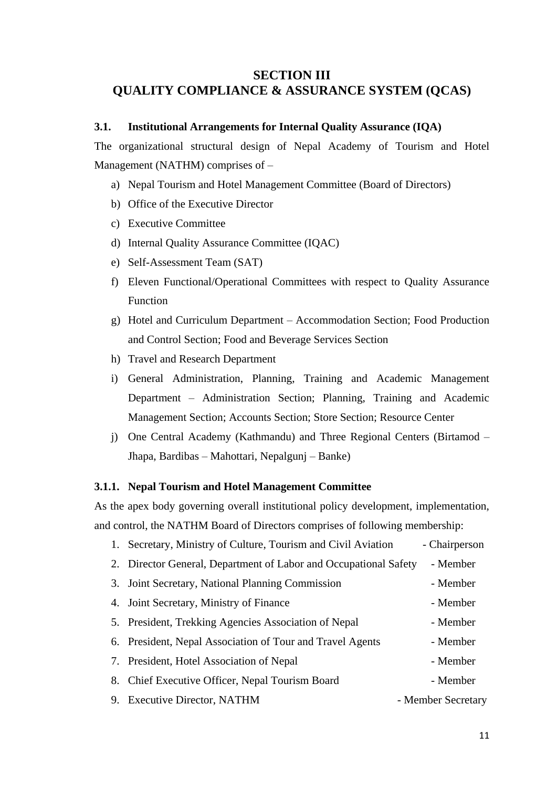# **SECTION III QUALITY COMPLIANCE & ASSURANCE SYSTEM (QCAS)**

#### **3.1. Institutional Arrangements for Internal Quality Assurance (IQA)**

The organizational structural design of Nepal Academy of Tourism and Hotel Management (NATHM) comprises of –

- a) Nepal Tourism and Hotel Management Committee (Board of Directors)
- b) Office of the Executive Director
- c) Executive Committee
- d) Internal Quality Assurance Committee (IQAC)
- e) Self-Assessment Team (SAT)
- f) Eleven Functional/Operational Committees with respect to Quality Assurance Function
- g) Hotel and Curriculum Department Accommodation Section; Food Production and Control Section; Food and Beverage Services Section
- h) Travel and Research Department
- i) General Administration, Planning, Training and Academic Management Department – Administration Section; Planning, Training and Academic Management Section; Accounts Section; Store Section; Resource Center
- j) One Central Academy (Kathmandu) and Three Regional Centers (Birtamod Jhapa, Bardibas – Mahottari, Nepalgunj – Banke)

## **3.1.1. Nepal Tourism and Hotel Management Committee**

As the apex body governing overall institutional policy development, implementation, and control, the NATHM Board of Directors comprises of following membership:

| 1. Secretary, Ministry of Culture, Tourism and Civil Aviation    | - Chairperson      |
|------------------------------------------------------------------|--------------------|
| 2. Director General, Department of Labor and Occupational Safety | - Member           |
| 3. Joint Secretary, National Planning Commission                 | - Member           |
| 4. Joint Secretary, Ministry of Finance                          | - Member           |
| 5. President, Trekking Agencies Association of Nepal             | - Member           |
| 6. President, Nepal Association of Tour and Travel Agents        | - Member           |
| 7. President, Hotel Association of Nepal                         | - Member           |
| 8. Chief Executive Officer, Nepal Tourism Board                  | - Member           |
| 9. Executive Director, NATHM                                     | - Member Secretary |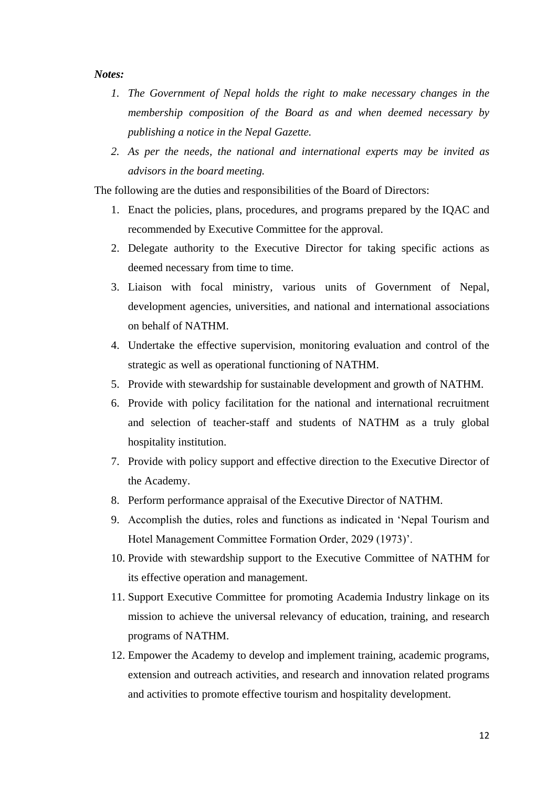#### *Notes:*

- *1. The Government of Nepal holds the right to make necessary changes in the membership composition of the Board as and when deemed necessary by publishing a notice in the Nepal Gazette.*
- *2. As per the needs, the national and international experts may be invited as advisors in the board meeting.*

The following are the duties and responsibilities of the Board of Directors:

- 1. Enact the policies, plans, procedures, and programs prepared by the IQAC and recommended by Executive Committee for the approval.
- 2. Delegate authority to the Executive Director for taking specific actions as deemed necessary from time to time.
- 3. Liaison with focal ministry, various units of Government of Nepal, development agencies, universities, and national and international associations on behalf of NATHM.
- 4. Undertake the effective supervision, monitoring evaluation and control of the strategic as well as operational functioning of NATHM.
- 5. Provide with stewardship for sustainable development and growth of NATHM.
- 6. Provide with policy facilitation for the national and international recruitment and selection of teacher-staff and students of NATHM as a truly global hospitality institution.
- 7. Provide with policy support and effective direction to the Executive Director of the Academy.
- 8. Perform performance appraisal of the Executive Director of NATHM.
- 9. Accomplish the duties, roles and functions as indicated in 'Nepal Tourism and Hotel Management Committee Formation Order, 2029 (1973)'.
- 10. Provide with stewardship support to the Executive Committee of NATHM for its effective operation and management.
- 11. Support Executive Committee for promoting Academia Industry linkage on its mission to achieve the universal relevancy of education, training, and research programs of NATHM.
- 12. Empower the Academy to develop and implement training, academic programs, extension and outreach activities, and research and innovation related programs and activities to promote effective tourism and hospitality development.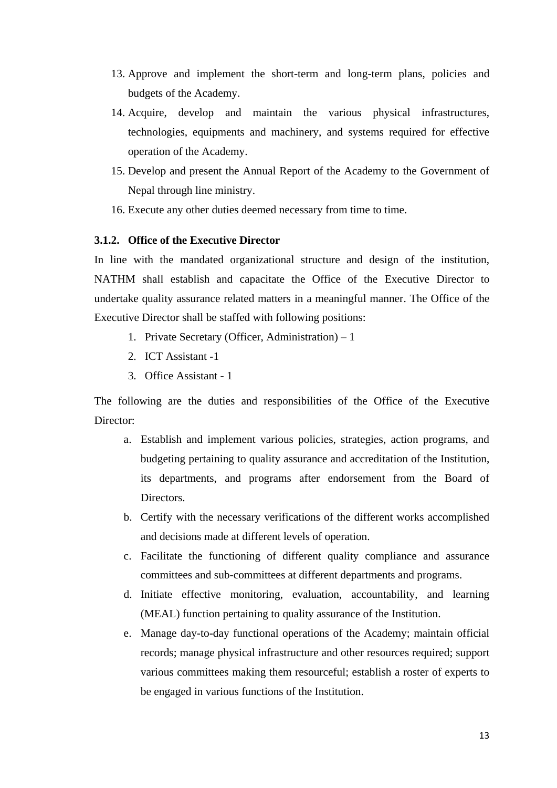- 13. Approve and implement the short-term and long-term plans, policies and budgets of the Academy.
- 14. Acquire, develop and maintain the various physical infrastructures, technologies, equipments and machinery, and systems required for effective operation of the Academy.
- 15. Develop and present the Annual Report of the Academy to the Government of Nepal through line ministry.
- 16. Execute any other duties deemed necessary from time to time.

#### **3.1.2. Office of the Executive Director**

In line with the mandated organizational structure and design of the institution, NATHM shall establish and capacitate the Office of the Executive Director to undertake quality assurance related matters in a meaningful manner. The Office of the Executive Director shall be staffed with following positions:

- 1. Private Secretary (Officer, Administration) 1
- 2. ICT Assistant -1
- 3. Office Assistant 1

The following are the duties and responsibilities of the Office of the Executive Director:

- a. Establish and implement various policies, strategies, action programs, and budgeting pertaining to quality assurance and accreditation of the Institution, its departments, and programs after endorsement from the Board of Directors.
- b. Certify with the necessary verifications of the different works accomplished and decisions made at different levels of operation.
- c. Facilitate the functioning of different quality compliance and assurance committees and sub-committees at different departments and programs.
- d. Initiate effective monitoring, evaluation, accountability, and learning (MEAL) function pertaining to quality assurance of the Institution.
- e. Manage day-to-day functional operations of the Academy; maintain official records; manage physical infrastructure and other resources required; support various committees making them resourceful; establish a roster of experts to be engaged in various functions of the Institution.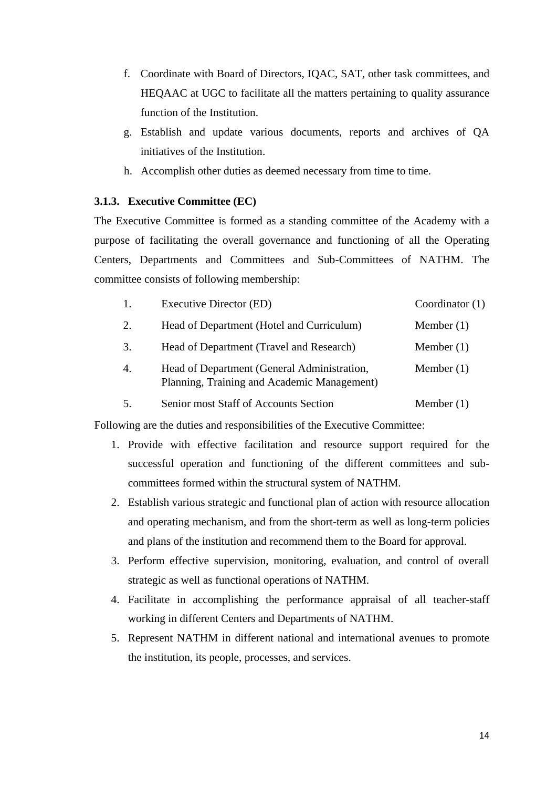- f. Coordinate with Board of Directors, IQAC, SAT, other task committees, and HEQAAC at UGC to facilitate all the matters pertaining to quality assurance function of the Institution.
- g. Establish and update various documents, reports and archives of QA initiatives of the Institution.
- h. Accomplish other duties as deemed necessary from time to time.

## **3.1.3. Executive Committee (EC)**

The Executive Committee is formed as a standing committee of the Academy with a purpose of facilitating the overall governance and functioning of all the Operating Centers, Departments and Committees and Sub-Committees of NATHM. The committee consists of following membership:

| 1.               | <b>Executive Director (ED)</b>                                                             | Coordinator $(1)$ |
|------------------|--------------------------------------------------------------------------------------------|-------------------|
| 2.               | Head of Department (Hotel and Curriculum)                                                  | Member $(1)$      |
| 3.               | Head of Department (Travel and Research)                                                   | Member $(1)$      |
| $\overline{4}$ . | Head of Department (General Administration,<br>Planning, Training and Academic Management) | Member $(1)$      |
|                  | Senior most Staff of Accounts Section                                                      | Member $(1)$      |

Following are the duties and responsibilities of the Executive Committee:

- 1. Provide with effective facilitation and resource support required for the successful operation and functioning of the different committees and subcommittees formed within the structural system of NATHM.
- 2. Establish various strategic and functional plan of action with resource allocation and operating mechanism, and from the short-term as well as long-term policies and plans of the institution and recommend them to the Board for approval.
- 3. Perform effective supervision, monitoring, evaluation, and control of overall strategic as well as functional operations of NATHM.
- 4. Facilitate in accomplishing the performance appraisal of all teacher-staff working in different Centers and Departments of NATHM.
- 5. Represent NATHM in different national and international avenues to promote the institution, its people, processes, and services.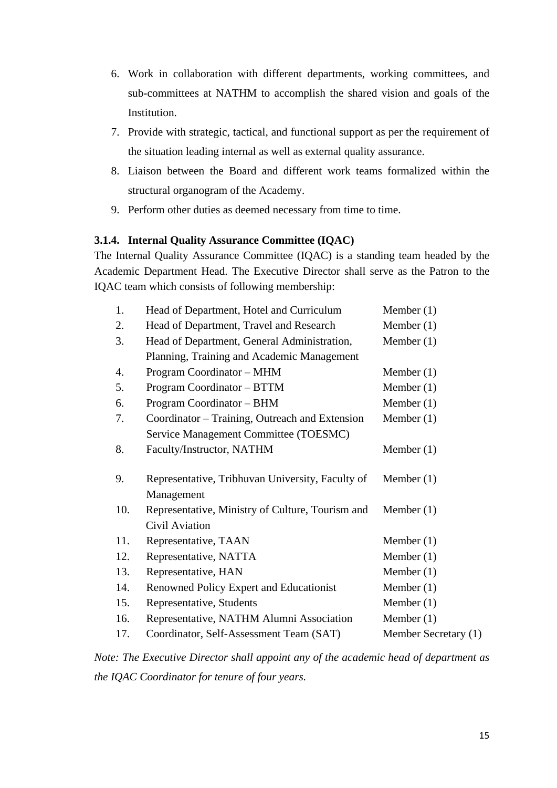- 6. Work in collaboration with different departments, working committees, and sub-committees at NATHM to accomplish the shared vision and goals of the Institution.
- 7. Provide with strategic, tactical, and functional support as per the requirement of the situation leading internal as well as external quality assurance.
- 8. Liaison between the Board and different work teams formalized within the structural organogram of the Academy.
- 9. Perform other duties as deemed necessary from time to time.

# **3.1.4. Internal Quality Assurance Committee (IQAC)**

The Internal Quality Assurance Committee (IQAC) is a standing team headed by the Academic Department Head. The Executive Director shall serve as the Patron to the IQAC team which consists of following membership:

| 1.  | Head of Department, Hotel and Curriculum         | Member $(1)$         |
|-----|--------------------------------------------------|----------------------|
| 2.  | Head of Department, Travel and Research          | Member $(1)$         |
| 3.  | Head of Department, General Administration,      | Member $(1)$         |
|     | Planning, Training and Academic Management       |                      |
| 4.  | Program Coordinator - MHM                        | Member $(1)$         |
| 5.  | Program Coordinator - BTTM                       | Member $(1)$         |
| 6.  | Program Coordinator - BHM                        | Member $(1)$         |
| 7.  | Coordinator – Training, Outreach and Extension   | Member $(1)$         |
|     | Service Management Committee (TOESMC)            |                      |
| 8.  | Faculty/Instructor, NATHM                        | Member $(1)$         |
|     |                                                  |                      |
| 9.  | Representative, Tribhuvan University, Faculty of | Member $(1)$         |
|     | Management                                       |                      |
| 10. | Representative, Ministry of Culture, Tourism and | Member $(1)$         |
|     | Civil Aviation                                   |                      |
| 11. | Representative, TAAN                             | Member $(1)$         |
| 12. | Representative, NATTA                            | Member $(1)$         |
| 13. | Representative, HAN                              | Member $(1)$         |
| 14. | Renowned Policy Expert and Educationist          | Member $(1)$         |
| 15. | Representative, Students                         | Member $(1)$         |
| 16. | Representative, NATHM Alumni Association         | Member $(1)$         |
| 17. | Coordinator, Self-Assessment Team (SAT)          | Member Secretary (1) |
|     |                                                  |                      |

*Note: The Executive Director shall appoint any of the academic head of department as the IQAC Coordinator for tenure of four years.*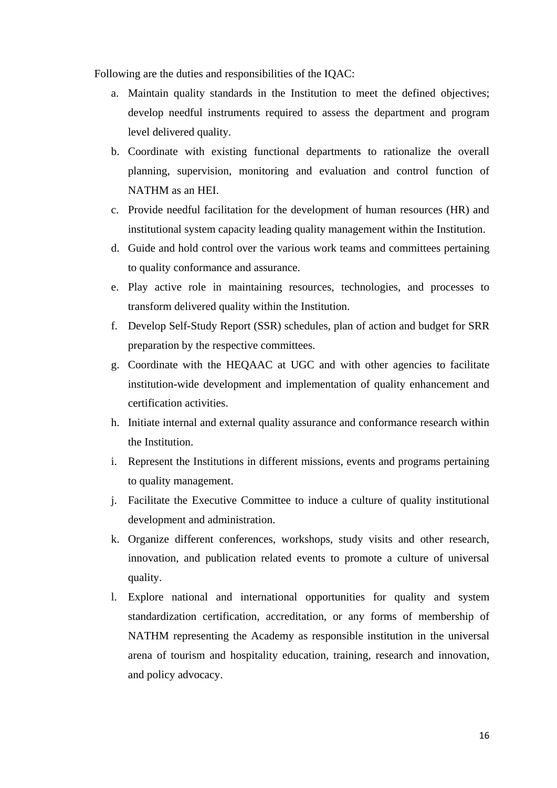Following are the duties and responsibilities of the IQAC:

- a. Maintain quality standards in the Institution to meet the defined objectives; develop needful instruments required to assess the department and program level delivered quality.
- b. Coordinate with existing functional departments to rationalize the overall planning, supervision, monitoring and evaluation and control function of NATHM as an HEI.
- c. Provide needful facilitation for the development of human resources (HR) and institutional system capacity leading quality management within the Institution.
- d. Guide and hold control over the various work teams and committees pertaining to quality conformance and assurance.
- e. Play active role in maintaining resources, technologies, and processes to transform delivered quality within the Institution.
- f. Develop Self-Study Report (SSR) schedules, plan of action and budget for SRR preparation by the respective committees.
- g. Coordinate with the HEQAAC at UGC and with other agencies to facilitate institution-wide development and implementation of quality enhancement and certification activities.
- h. Initiate internal and external quality assurance and conformance research within the Institution.
- i. Represent the Institutions in different missions, events and programs pertaining to quality management.
- j. Facilitate the Executive Committee to induce a culture of quality institutional development and administration.
- k. Organize different conferences, workshops, study visits and other research, innovation, and publication related events to promote a culture of universal quality.
- l. Explore national and international opportunities for quality and system standardization certification, accreditation, or any forms of membership of NATHM representing the Academy as responsible institution in the universal arena of tourism and hospitality education, training, research and innovation, and policy advocacy.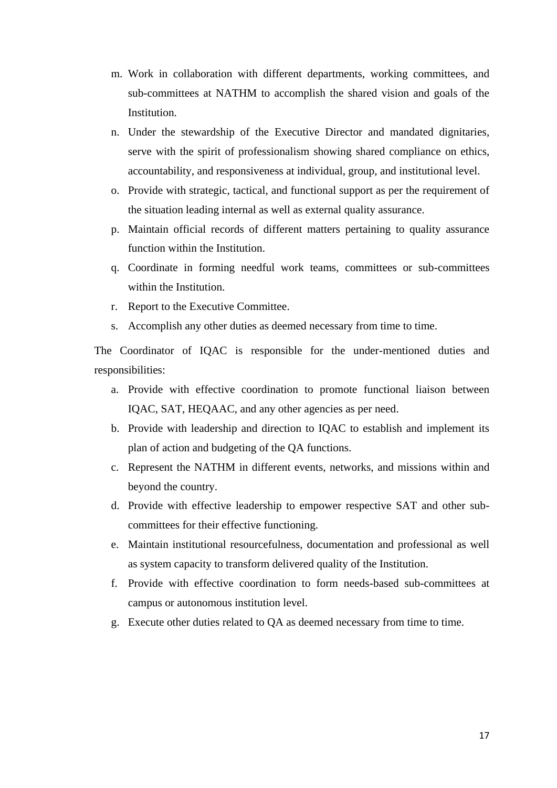- m. Work in collaboration with different departments, working committees, and sub-committees at NATHM to accomplish the shared vision and goals of the Institution.
- n. Under the stewardship of the Executive Director and mandated dignitaries, serve with the spirit of professionalism showing shared compliance on ethics, accountability, and responsiveness at individual, group, and institutional level.
- o. Provide with strategic, tactical, and functional support as per the requirement of the situation leading internal as well as external quality assurance.
- p. Maintain official records of different matters pertaining to quality assurance function within the Institution.
- q. Coordinate in forming needful work teams, committees or sub-committees within the Institution.
- r. Report to the Executive Committee.
- s. Accomplish any other duties as deemed necessary from time to time.

The Coordinator of IQAC is responsible for the under-mentioned duties and responsibilities:

- a. Provide with effective coordination to promote functional liaison between IQAC, SAT, HEQAAC, and any other agencies as per need.
- b. Provide with leadership and direction to IQAC to establish and implement its plan of action and budgeting of the QA functions.
- c. Represent the NATHM in different events, networks, and missions within and beyond the country.
- d. Provide with effective leadership to empower respective SAT and other subcommittees for their effective functioning.
- e. Maintain institutional resourcefulness, documentation and professional as well as system capacity to transform delivered quality of the Institution.
- f. Provide with effective coordination to form needs-based sub-committees at campus or autonomous institution level.
- g. Execute other duties related to QA as deemed necessary from time to time.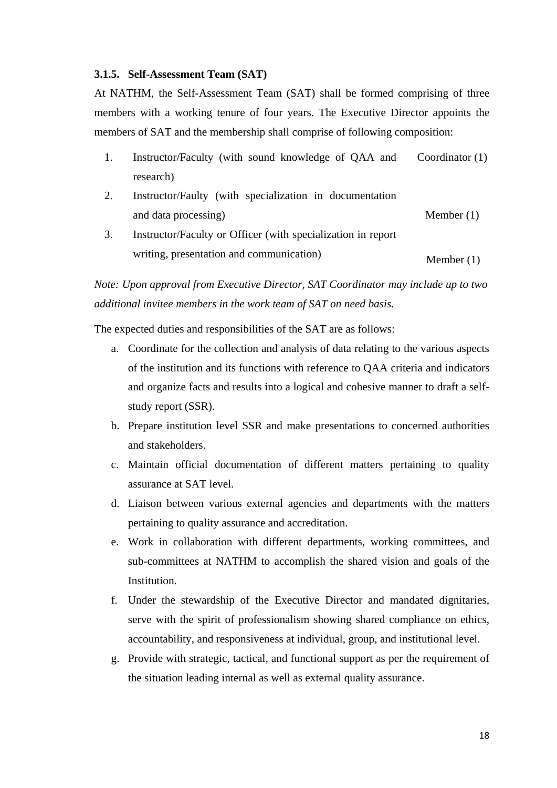#### **3.1.5. Self-Assessment Team (SAT)**

At NATHM, the Self-Assessment Team (SAT) shall be formed comprising of three members with a working tenure of four years. The Executive Director appoints the members of SAT and the membership shall comprise of following composition:

| Instructor/Faculty (with sound knowledge of QAA and Coordinator (1) |  |  |
|---------------------------------------------------------------------|--|--|
| research)                                                           |  |  |

- 2. Instructor/Faulty (with specialization in documentation and data processing) Member (1)
- 3. Instructor/Faculty or Officer (with specialization in report writing, presentation and communication) Member  $(1)$

*Note: Upon approval from Executive Director, SAT Coordinator may include up to two additional invitee members in the work team of SAT on need basis.*

The expected duties and responsibilities of the SAT are as follows:

- a. Coordinate for the collection and analysis of data relating to the various aspects of the institution and its functions with reference to QAA criteria and indicators and organize facts and results into a logical and cohesive manner to draft a selfstudy report (SSR).
- b. Prepare institution level SSR and make presentations to concerned authorities and stakeholders.
- c. Maintain official documentation of different matters pertaining to quality assurance at SAT level.
- d. Liaison between various external agencies and departments with the matters pertaining to quality assurance and accreditation.
- e. Work in collaboration with different departments, working committees, and sub-committees at NATHM to accomplish the shared vision and goals of the Institution.
- f. Under the stewardship of the Executive Director and mandated dignitaries, serve with the spirit of professionalism showing shared compliance on ethics, accountability, and responsiveness at individual, group, and institutional level.
- g. Provide with strategic, tactical, and functional support as per the requirement of the situation leading internal as well as external quality assurance.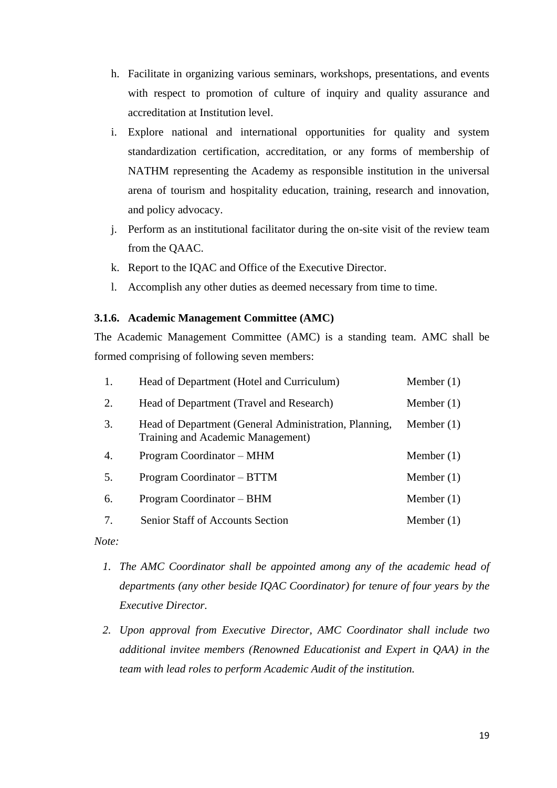- h. Facilitate in organizing various seminars, workshops, presentations, and events with respect to promotion of culture of inquiry and quality assurance and accreditation at Institution level.
- i. Explore national and international opportunities for quality and system standardization certification, accreditation, or any forms of membership of NATHM representing the Academy as responsible institution in the universal arena of tourism and hospitality education, training, research and innovation, and policy advocacy.
- j. Perform as an institutional facilitator during the on-site visit of the review team from the QAAC.
- k. Report to the IQAC and Office of the Executive Director.
- l. Accomplish any other duties as deemed necessary from time to time.

#### **3.1.6. Academic Management Committee (AMC)**

The Academic Management Committee (AMC) is a standing team. AMC shall be formed comprising of following seven members:

| 1.               | Head of Department (Hotel and Curriculum)                                                  | Member $(1)$ |
|------------------|--------------------------------------------------------------------------------------------|--------------|
| 2.               | Head of Department (Travel and Research)                                                   | Member $(1)$ |
| 3.               | Head of Department (General Administration, Planning,<br>Training and Academic Management) | Member $(1)$ |
| $\overline{4}$ . | Program Coordinator – MHM                                                                  | Member $(1)$ |
| 5.               | Program Coordinator – BTTM                                                                 | Member $(1)$ |
| 6.               | Program Coordinator – BHM                                                                  | Member $(1)$ |
| 7.               | <b>Senior Staff of Accounts Section</b>                                                    | Member $(1)$ |

*Note:* 

- *1. The AMC Coordinator shall be appointed among any of the academic head of departments (any other beside IQAC Coordinator) for tenure of four years by the Executive Director.*
- *2. Upon approval from Executive Director, AMC Coordinator shall include two additional invitee members (Renowned Educationist and Expert in QAA) in the team with lead roles to perform Academic Audit of the institution.*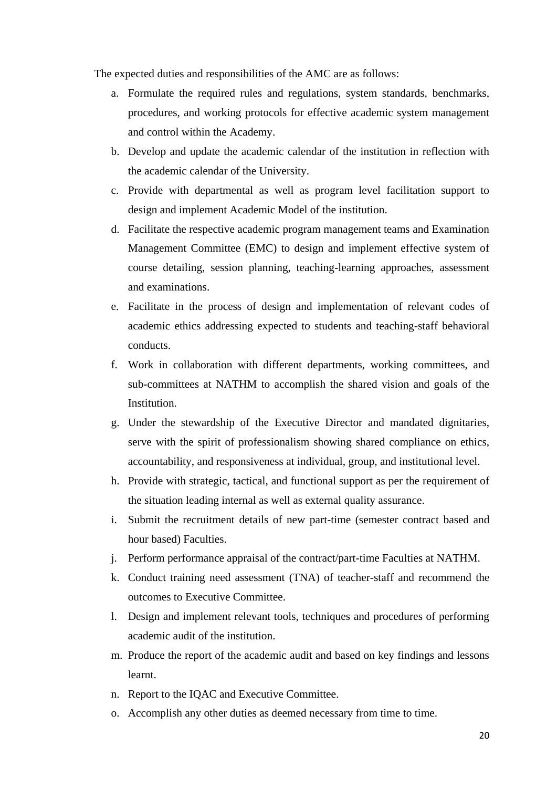The expected duties and responsibilities of the AMC are as follows:

- a. Formulate the required rules and regulations, system standards, benchmarks, procedures, and working protocols for effective academic system management and control within the Academy.
- b. Develop and update the academic calendar of the institution in reflection with the academic calendar of the University.
- c. Provide with departmental as well as program level facilitation support to design and implement Academic Model of the institution.
- d. Facilitate the respective academic program management teams and Examination Management Committee (EMC) to design and implement effective system of course detailing, session planning, teaching-learning approaches, assessment and examinations.
- e. Facilitate in the process of design and implementation of relevant codes of academic ethics addressing expected to students and teaching-staff behavioral conducts.
- f. Work in collaboration with different departments, working committees, and sub-committees at NATHM to accomplish the shared vision and goals of the Institution.
- g. Under the stewardship of the Executive Director and mandated dignitaries, serve with the spirit of professionalism showing shared compliance on ethics, accountability, and responsiveness at individual, group, and institutional level.
- h. Provide with strategic, tactical, and functional support as per the requirement of the situation leading internal as well as external quality assurance.
- i. Submit the recruitment details of new part-time (semester contract based and hour based) Faculties.
- j. Perform performance appraisal of the contract/part-time Faculties at NATHM.
- k. Conduct training need assessment (TNA) of teacher-staff and recommend the outcomes to Executive Committee.
- l. Design and implement relevant tools, techniques and procedures of performing academic audit of the institution.
- m. Produce the report of the academic audit and based on key findings and lessons learnt.
- n. Report to the IQAC and Executive Committee.
- o. Accomplish any other duties as deemed necessary from time to time.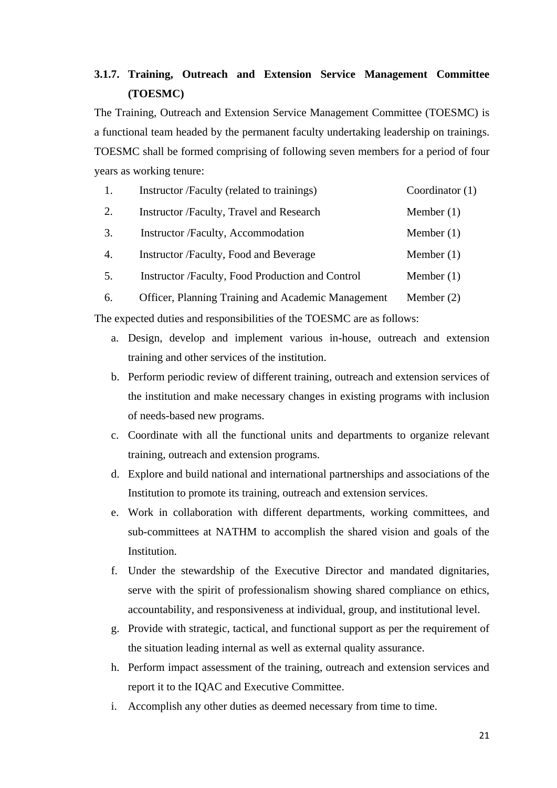# **3.1.7. Training, Outreach and Extension Service Management Committee (TOESMC)**

The Training, Outreach and Extension Service Management Committee (TOESMC) is a functional team headed by the permanent faculty undertaking leadership on trainings. TOESMC shall be formed comprising of following seven members for a period of four years as working tenure:

| 1. | Instructor /Faculty (related to trainings)       | Coordinator $(1)$ |
|----|--------------------------------------------------|-------------------|
| 2. | Instructor /Faculty, Travel and Research         | Member $(1)$      |
| 3. | Instructor /Faculty, Accommodation               | Member $(1)$      |
| 4. | Instructor /Faculty, Food and Beverage           | Member $(1)$      |
| 5. | Instructor /Faculty, Food Production and Control | Member $(1)$      |
|    |                                                  |                   |

6. Officer, Planning Training and Academic Management Member (2)

The expected duties and responsibilities of the TOESMC are as follows:

- a. Design, develop and implement various in-house, outreach and extension training and other services of the institution.
- b. Perform periodic review of different training, outreach and extension services of the institution and make necessary changes in existing programs with inclusion of needs-based new programs.
- c. Coordinate with all the functional units and departments to organize relevant training, outreach and extension programs.
- d. Explore and build national and international partnerships and associations of the Institution to promote its training, outreach and extension services.
- e. Work in collaboration with different departments, working committees, and sub-committees at NATHM to accomplish the shared vision and goals of the Institution.
- f. Under the stewardship of the Executive Director and mandated dignitaries, serve with the spirit of professionalism showing shared compliance on ethics, accountability, and responsiveness at individual, group, and institutional level.
- g. Provide with strategic, tactical, and functional support as per the requirement of the situation leading internal as well as external quality assurance.
- h. Perform impact assessment of the training, outreach and extension services and report it to the IQAC and Executive Committee.
- i. Accomplish any other duties as deemed necessary from time to time.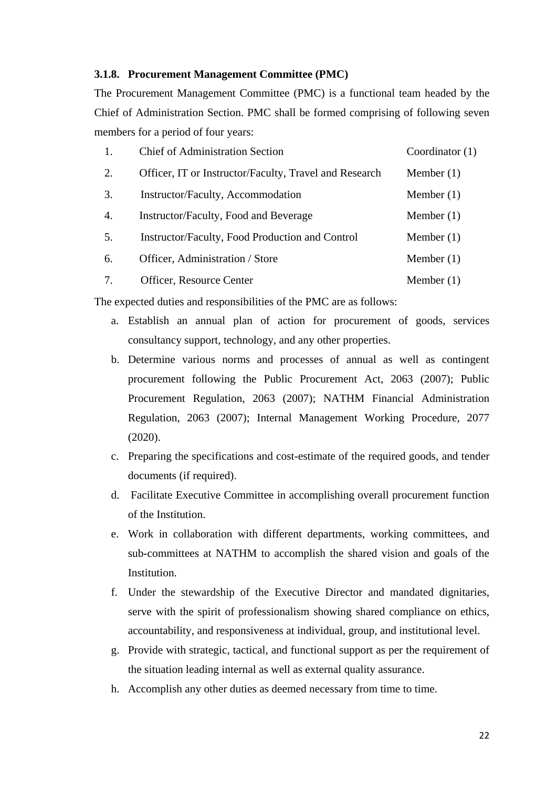#### **3.1.8. Procurement Management Committee (PMC)**

The Procurement Management Committee (PMC) is a functional team headed by the Chief of Administration Section. PMC shall be formed comprising of following seven members for a period of four years:

| 1.               | <b>Chief of Administration Section</b>                 | Coordinator (1) |
|------------------|--------------------------------------------------------|-----------------|
| 2.               | Officer, IT or Instructor/Faculty, Travel and Research | Member $(1)$    |
| 3.               | Instructor/Faculty, Accommodation                      | Member $(1)$    |
| $\overline{4}$ . | Instructor/Faculty, Food and Beverage                  | Member $(1)$    |
| 5.               | Instructor/Faculty, Food Production and Control        | Member $(1)$    |
| 6.               | Officer, Administration / Store                        | Member $(1)$    |
| 7.               | Officer, Resource Center                               | Member $(1)$    |

The expected duties and responsibilities of the PMC are as follows:

- a. Establish an annual plan of action for procurement of goods, services consultancy support, technology, and any other properties.
- b. Determine various norms and processes of annual as well as contingent procurement following the Public Procurement Act, 2063 (2007); Public Procurement Regulation, 2063 (2007); NATHM Financial Administration Regulation, 2063 (2007); Internal Management Working Procedure, 2077 (2020).
- c. Preparing the specifications and cost-estimate of the required goods, and tender documents (if required).
- d. Facilitate Executive Committee in accomplishing overall procurement function of the Institution.
- e. Work in collaboration with different departments, working committees, and sub-committees at NATHM to accomplish the shared vision and goals of the Institution.
- f. Under the stewardship of the Executive Director and mandated dignitaries, serve with the spirit of professionalism showing shared compliance on ethics, accountability, and responsiveness at individual, group, and institutional level.
- g. Provide with strategic, tactical, and functional support as per the requirement of the situation leading internal as well as external quality assurance.
- h. Accomplish any other duties as deemed necessary from time to time.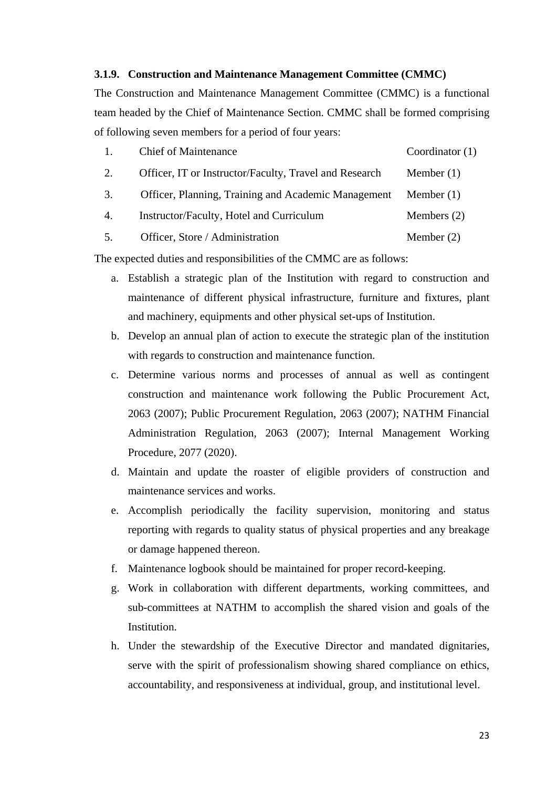#### **3.1.9. Construction and Maintenance Management Committee (CMMC)**

The Construction and Maintenance Management Committee (CMMC) is a functional team headed by the Chief of Maintenance Section. CMMC shall be formed comprising of following seven members for a period of four years:

| <b>Chief of Maintenance</b>                            | Coordinator $(1)$ |
|--------------------------------------------------------|-------------------|
| Officer, IT or Instructor/Faculty, Travel and Research | Member $(1)$      |

- 3. Officer, Planning, Training and Academic Management Member (1)
- 4. Instructor/Faculty, Hotel and Curriculum Members (2)

5. Officer, Store / Administration Member (2)

The expected duties and responsibilities of the CMMC are as follows:

- a. Establish a strategic plan of the Institution with regard to construction and maintenance of different physical infrastructure, furniture and fixtures, plant and machinery, equipments and other physical set-ups of Institution.
- b. Develop an annual plan of action to execute the strategic plan of the institution with regards to construction and maintenance function.
- c. Determine various norms and processes of annual as well as contingent construction and maintenance work following the Public Procurement Act, 2063 (2007); Public Procurement Regulation, 2063 (2007); NATHM Financial Administration Regulation, 2063 (2007); Internal Management Working Procedure, 2077 (2020).
- d. Maintain and update the roaster of eligible providers of construction and maintenance services and works.
- e. Accomplish periodically the facility supervision, monitoring and status reporting with regards to quality status of physical properties and any breakage or damage happened thereon.
- f. Maintenance logbook should be maintained for proper record-keeping.
- g. Work in collaboration with different departments, working committees, and sub-committees at NATHM to accomplish the shared vision and goals of the Institution.
- h. Under the stewardship of the Executive Director and mandated dignitaries, serve with the spirit of professionalism showing shared compliance on ethics, accountability, and responsiveness at individual, group, and institutional level.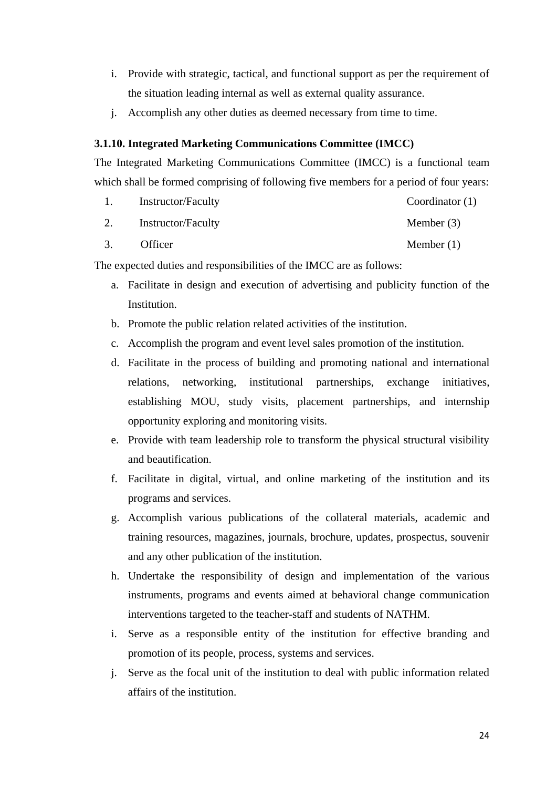- i. Provide with strategic, tactical, and functional support as per the requirement of the situation leading internal as well as external quality assurance.
- j. Accomplish any other duties as deemed necessary from time to time.

# **3.1.10. Integrated Marketing Communications Committee (IMCC)**

The Integrated Marketing Communications Committee (IMCC) is a functional team which shall be formed comprising of following five members for a period of four years:

| Instructor/Faculty | Coordinator $(1)$ |
|--------------------|-------------------|
| Instructor/Faculty | Member $(3)$      |

3. Officer Member (1)

The expected duties and responsibilities of the IMCC are as follows:

- a. Facilitate in design and execution of advertising and publicity function of the Institution.
- b. Promote the public relation related activities of the institution.
- c. Accomplish the program and event level sales promotion of the institution.
- d. Facilitate in the process of building and promoting national and international relations, networking, institutional partnerships, exchange initiatives, establishing MOU, study visits, placement partnerships, and internship opportunity exploring and monitoring visits.
- e. Provide with team leadership role to transform the physical structural visibility and beautification.
- f. Facilitate in digital, virtual, and online marketing of the institution and its programs and services.
- g. Accomplish various publications of the collateral materials, academic and training resources, magazines, journals, brochure, updates, prospectus, souvenir and any other publication of the institution.
- h. Undertake the responsibility of design and implementation of the various instruments, programs and events aimed at behavioral change communication interventions targeted to the teacher-staff and students of NATHM.
- i. Serve as a responsible entity of the institution for effective branding and promotion of its people, process, systems and services.
- j. Serve as the focal unit of the institution to deal with public information related affairs of the institution.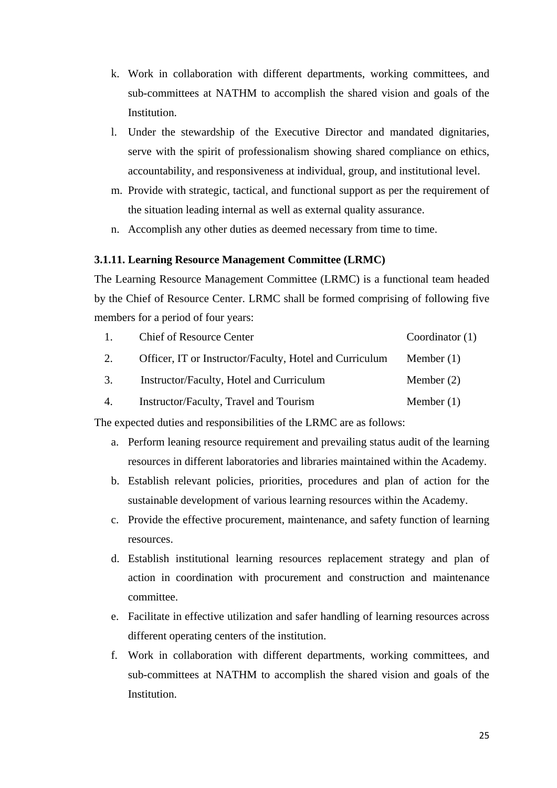- k. Work in collaboration with different departments, working committees, and sub-committees at NATHM to accomplish the shared vision and goals of the Institution.
- l. Under the stewardship of the Executive Director and mandated dignitaries, serve with the spirit of professionalism showing shared compliance on ethics, accountability, and responsiveness at individual, group, and institutional level.
- m. Provide with strategic, tactical, and functional support as per the requirement of the situation leading internal as well as external quality assurance.
- n. Accomplish any other duties as deemed necessary from time to time.

#### **3.1.11. Learning Resource Management Committee (LRMC)**

The Learning Resource Management Committee (LRMC) is a functional team headed by the Chief of Resource Center. LRMC shall be formed comprising of following five members for a period of four years:

| $1_{\cdots}$ | <b>Chief of Resource Center</b>                                    | Coordinator $(1)$ |
|--------------|--------------------------------------------------------------------|-------------------|
| 2.           | Officer, IT or Instructor/Faculty, Hotel and Curriculum Member (1) |                   |
| 3.           | Instructor/Faculty, Hotel and Curriculum                           | Member $(2)$      |
| 4.           | Instructor/Faculty, Travel and Tourism                             | Member $(1)$      |

The expected duties and responsibilities of the LRMC are as follows:

- a. Perform leaning resource requirement and prevailing status audit of the learning resources in different laboratories and libraries maintained within the Academy.
- b. Establish relevant policies, priorities, procedures and plan of action for the sustainable development of various learning resources within the Academy.
- c. Provide the effective procurement, maintenance, and safety function of learning resources.
- d. Establish institutional learning resources replacement strategy and plan of action in coordination with procurement and construction and maintenance committee.
- e. Facilitate in effective utilization and safer handling of learning resources across different operating centers of the institution.
- f. Work in collaboration with different departments, working committees, and sub-committees at NATHM to accomplish the shared vision and goals of the **Institution**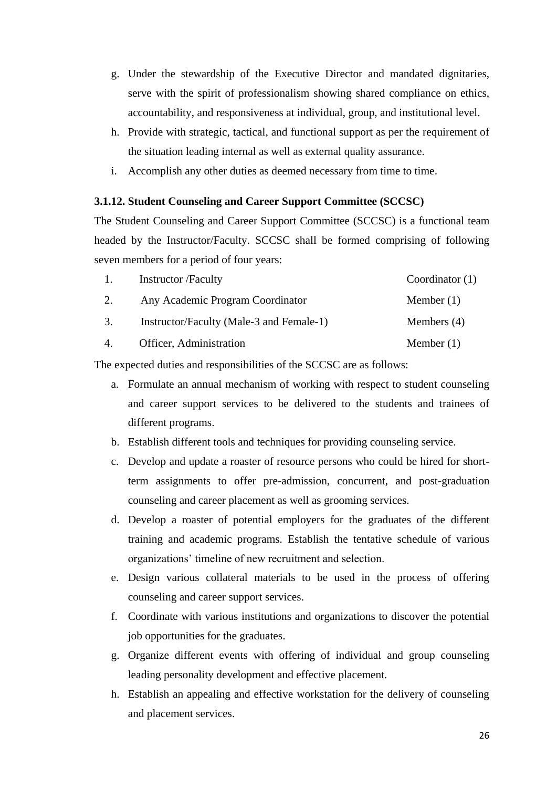- g. Under the stewardship of the Executive Director and mandated dignitaries, serve with the spirit of professionalism showing shared compliance on ethics, accountability, and responsiveness at individual, group, and institutional level.
- h. Provide with strategic, tactical, and functional support as per the requirement of the situation leading internal as well as external quality assurance.
- i. Accomplish any other duties as deemed necessary from time to time.

#### **3.1.12. Student Counseling and Career Support Committee (SCCSC)**

The Student Counseling and Career Support Committee (SCCSC) is a functional team headed by the Instructor/Faculty. SCCSC shall be formed comprising of following seven members for a period of four years:

| 1. | <b>Instructor</b> /Faculty               | Coordinator $(1)$ |
|----|------------------------------------------|-------------------|
| 2. | Any Academic Program Coordinator         | Member $(1)$      |
| 3. | Instructor/Faculty (Male-3 and Female-1) | Members $(4)$     |
| 4. | Officer, Administration                  | Member $(1)$      |

The expected duties and responsibilities of the SCCSC are as follows:

- a. Formulate an annual mechanism of working with respect to student counseling and career support services to be delivered to the students and trainees of different programs.
- b. Establish different tools and techniques for providing counseling service.
- c. Develop and update a roaster of resource persons who could be hired for shortterm assignments to offer pre-admission, concurrent, and post-graduation counseling and career placement as well as grooming services.
- d. Develop a roaster of potential employers for the graduates of the different training and academic programs. Establish the tentative schedule of various organizations' timeline of new recruitment and selection.
- e. Design various collateral materials to be used in the process of offering counseling and career support services.
- f. Coordinate with various institutions and organizations to discover the potential job opportunities for the graduates.
- g. Organize different events with offering of individual and group counseling leading personality development and effective placement.
- h. Establish an appealing and effective workstation for the delivery of counseling and placement services.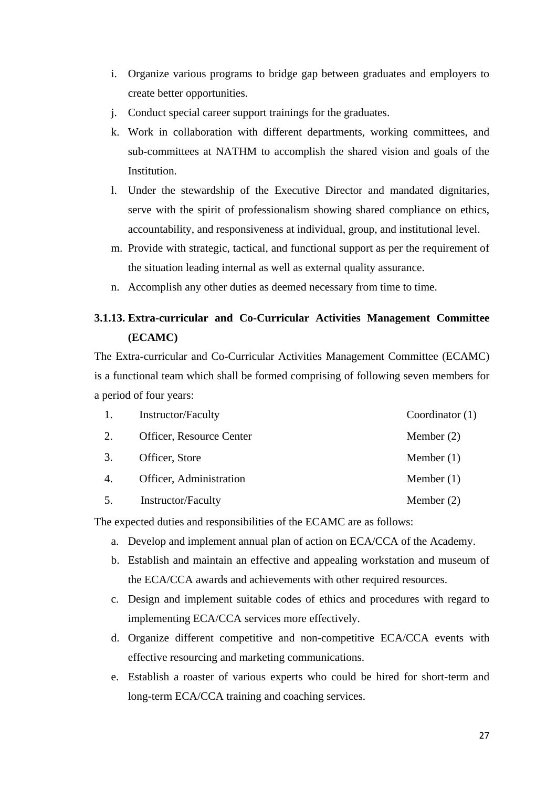- i. Organize various programs to bridge gap between graduates and employers to create better opportunities.
- j. Conduct special career support trainings for the graduates.
- k. Work in collaboration with different departments, working committees, and sub-committees at NATHM to accomplish the shared vision and goals of the Institution.
- l. Under the stewardship of the Executive Director and mandated dignitaries, serve with the spirit of professionalism showing shared compliance on ethics, accountability, and responsiveness at individual, group, and institutional level.
- m. Provide with strategic, tactical, and functional support as per the requirement of the situation leading internal as well as external quality assurance.
- n. Accomplish any other duties as deemed necessary from time to time.

# **3.1.13. Extra-curricular and Co-Curricular Activities Management Committee (ECAMC)**

The Extra-curricular and Co-Curricular Activities Management Committee (ECAMC) is a functional team which shall be formed comprising of following seven members for a period of four years:

| 1.               | Instructor/Faculty        | Coordinator $(1)$ |
|------------------|---------------------------|-------------------|
| 2.               | Officer, Resource Center  | Member $(2)$      |
| 3.               | Officer, Store            | Member $(1)$      |
| $\overline{4}$ . | Officer, Administration   | Member $(1)$      |
| 5.               | <b>Instructor/Faculty</b> | Member $(2)$      |

The expected duties and responsibilities of the ECAMC are as follows:

- a. Develop and implement annual plan of action on ECA/CCA of the Academy.
- b. Establish and maintain an effective and appealing workstation and museum of the ECA/CCA awards and achievements with other required resources.
- c. Design and implement suitable codes of ethics and procedures with regard to implementing ECA/CCA services more effectively.
- d. Organize different competitive and non-competitive ECA/CCA events with effective resourcing and marketing communications.
- e. Establish a roaster of various experts who could be hired for short-term and long-term ECA/CCA training and coaching services.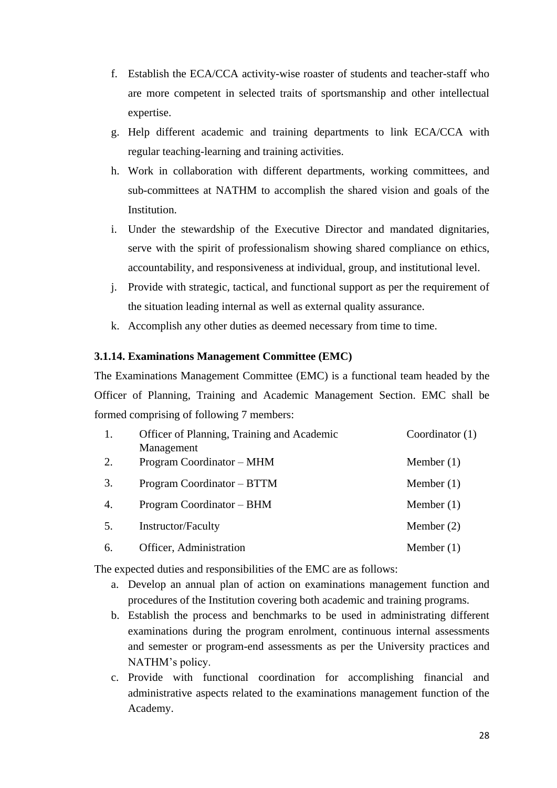- f. Establish the ECA/CCA activity-wise roaster of students and teacher-staff who are more competent in selected traits of sportsmanship and other intellectual expertise.
- g. Help different academic and training departments to link ECA/CCA with regular teaching-learning and training activities.
- h. Work in collaboration with different departments, working committees, and sub-committees at NATHM to accomplish the shared vision and goals of the Institution.
- i. Under the stewardship of the Executive Director and mandated dignitaries, serve with the spirit of professionalism showing shared compliance on ethics, accountability, and responsiveness at individual, group, and institutional level.
- j. Provide with strategic, tactical, and functional support as per the requirement of the situation leading internal as well as external quality assurance.
- k. Accomplish any other duties as deemed necessary from time to time.

#### **3.1.14. Examinations Management Committee (EMC)**

The Examinations Management Committee (EMC) is a functional team headed by the Officer of Planning, Training and Academic Management Section. EMC shall be formed comprising of following 7 members:

| 1. | Officer of Planning, Training and Academic | Coordinator $(1)$ |
|----|--------------------------------------------|-------------------|
|    | Management                                 |                   |
| 2. | Program Coordinator – MHM                  | Member $(1)$      |
| 3. | Program Coordinator – BTTM                 | Member $(1)$      |
| 4. | Program Coordinator – BHM                  | Member $(1)$      |
| 5. | Instructor/Faculty                         | Member $(2)$      |
| 6. | Officer, Administration                    | Member $(1)$      |

The expected duties and responsibilities of the EMC are as follows:

- a. Develop an annual plan of action on examinations management function and procedures of the Institution covering both academic and training programs.
- b. Establish the process and benchmarks to be used in administrating different examinations during the program enrolment, continuous internal assessments and semester or program-end assessments as per the University practices and NATHM's policy.
- c. Provide with functional coordination for accomplishing financial and administrative aspects related to the examinations management function of the Academy.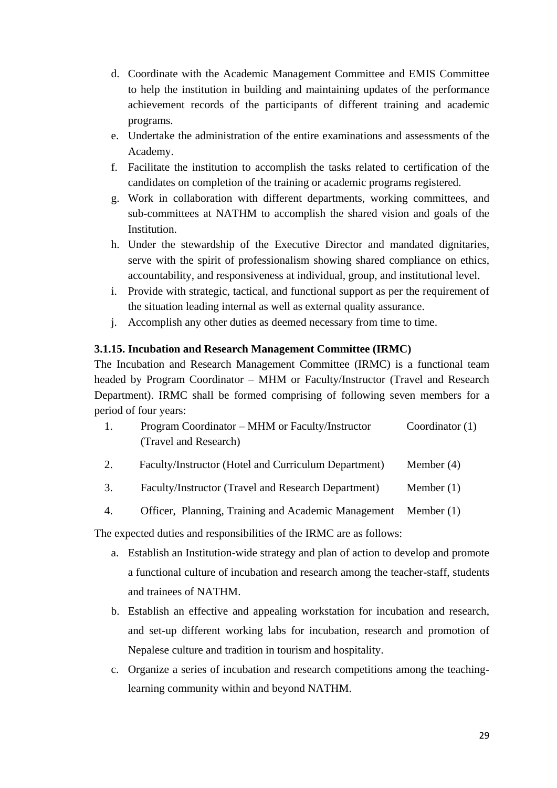- d. Coordinate with the Academic Management Committee and EMIS Committee to help the institution in building and maintaining updates of the performance achievement records of the participants of different training and academic programs.
- e. Undertake the administration of the entire examinations and assessments of the Academy.
- f. Facilitate the institution to accomplish the tasks related to certification of the candidates on completion of the training or academic programs registered.
- g. Work in collaboration with different departments, working committees, and sub-committees at NATHM to accomplish the shared vision and goals of the Institution.
- h. Under the stewardship of the Executive Director and mandated dignitaries, serve with the spirit of professionalism showing shared compliance on ethics, accountability, and responsiveness at individual, group, and institutional level.
- i. Provide with strategic, tactical, and functional support as per the requirement of the situation leading internal as well as external quality assurance.
- j. Accomplish any other duties as deemed necessary from time to time.

# **3.1.15. Incubation and Research Management Committee (IRMC)**

The Incubation and Research Management Committee (IRMC) is a functional team headed by Program Coordinator – MHM or Faculty/Instructor (Travel and Research Department). IRMC shall be formed comprising of following seven members for a period of four years:

- 1. Program Coordinator MHM or Faculty/Instructor (Travel and Research) Coordinator (1)
- 2. Faculty/Instructor (Hotel and Curriculum Department) Member (4)
- 3. Faculty/Instructor (Travel and Research Department) Member (1)
- 4. Officer, Planning, Training and Academic Management Member (1)

The expected duties and responsibilities of the IRMC are as follows:

- a. Establish an Institution-wide strategy and plan of action to develop and promote a functional culture of incubation and research among the teacher-staff, students and trainees of NATHM.
- b. Establish an effective and appealing workstation for incubation and research, and set-up different working labs for incubation, research and promotion of Nepalese culture and tradition in tourism and hospitality.
- c. Organize a series of incubation and research competitions among the teachinglearning community within and beyond NATHM.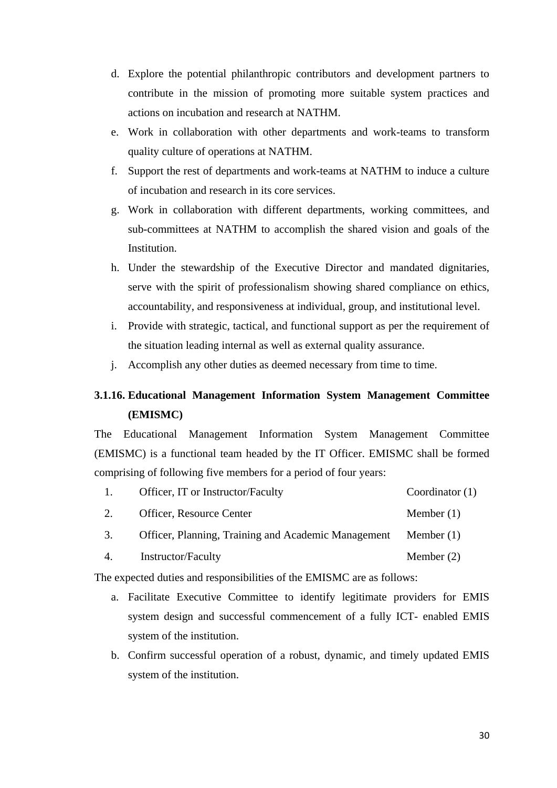- d. Explore the potential philanthropic contributors and development partners to contribute in the mission of promoting more suitable system practices and actions on incubation and research at NATHM.
- e. Work in collaboration with other departments and work-teams to transform quality culture of operations at NATHM.
- f. Support the rest of departments and work-teams at NATHM to induce a culture of incubation and research in its core services.
- g. Work in collaboration with different departments, working committees, and sub-committees at NATHM to accomplish the shared vision and goals of the Institution.
- h. Under the stewardship of the Executive Director and mandated dignitaries, serve with the spirit of professionalism showing shared compliance on ethics, accountability, and responsiveness at individual, group, and institutional level.
- i. Provide with strategic, tactical, and functional support as per the requirement of the situation leading internal as well as external quality assurance.
- j. Accomplish any other duties as deemed necessary from time to time.

# **3.1.16. Educational Management Information System Management Committee (EMISMC)**

The Educational Management Information System Management Committee (EMISMC) is a functional team headed by the IT Officer. EMISMC shall be formed comprising of following five members for a period of four years:

| Officer, IT or Instructor/Faculty | Coordinator $(1)$ |
|-----------------------------------|-------------------|
| Officer, Resource Center          | Member $(1)$      |

- 3. Officer, Planning, Training and Academic Management Member (1)
- 4. Instructor/Faculty Member (2)

The expected duties and responsibilities of the EMISMC are as follows:

- a. Facilitate Executive Committee to identify legitimate providers for EMIS system design and successful commencement of a fully ICT- enabled EMIS system of the institution.
- b. Confirm successful operation of a robust, dynamic, and timely updated EMIS system of the institution.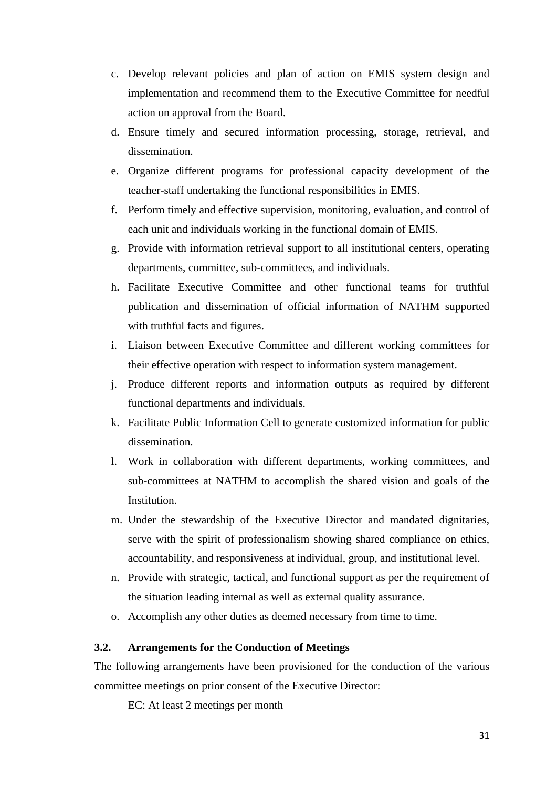- c. Develop relevant policies and plan of action on EMIS system design and implementation and recommend them to the Executive Committee for needful action on approval from the Board.
- d. Ensure timely and secured information processing, storage, retrieval, and dissemination.
- e. Organize different programs for professional capacity development of the teacher-staff undertaking the functional responsibilities in EMIS.
- f. Perform timely and effective supervision, monitoring, evaluation, and control of each unit and individuals working in the functional domain of EMIS.
- g. Provide with information retrieval support to all institutional centers, operating departments, committee, sub-committees, and individuals.
- h. Facilitate Executive Committee and other functional teams for truthful publication and dissemination of official information of NATHM supported with truthful facts and figures.
- i. Liaison between Executive Committee and different working committees for their effective operation with respect to information system management.
- j. Produce different reports and information outputs as required by different functional departments and individuals.
- k. Facilitate Public Information Cell to generate customized information for public dissemination.
- l. Work in collaboration with different departments, working committees, and sub-committees at NATHM to accomplish the shared vision and goals of the Institution.
- m. Under the stewardship of the Executive Director and mandated dignitaries, serve with the spirit of professionalism showing shared compliance on ethics, accountability, and responsiveness at individual, group, and institutional level.
- n. Provide with strategic, tactical, and functional support as per the requirement of the situation leading internal as well as external quality assurance.
- o. Accomplish any other duties as deemed necessary from time to time.

#### **3.2. Arrangements for the Conduction of Meetings**

The following arrangements have been provisioned for the conduction of the various committee meetings on prior consent of the Executive Director:

EC: At least 2 meetings per month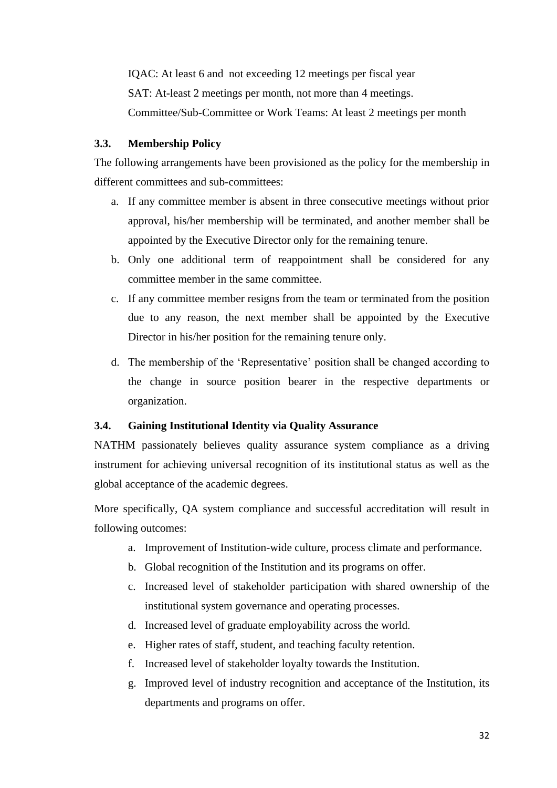IQAC: At least 6 and not exceeding 12 meetings per fiscal year SAT: At-least 2 meetings per month, not more than 4 meetings. Committee/Sub-Committee or Work Teams: At least 2 meetings per month

#### **3.3. Membership Policy**

The following arrangements have been provisioned as the policy for the membership in different committees and sub-committees:

- a. If any committee member is absent in three consecutive meetings without prior approval, his/her membership will be terminated, and another member shall be appointed by the Executive Director only for the remaining tenure.
- b. Only one additional term of reappointment shall be considered for any committee member in the same committee.
- c. If any committee member resigns from the team or terminated from the position due to any reason, the next member shall be appointed by the Executive Director in his/her position for the remaining tenure only.
- d. The membership of the 'Representative' position shall be changed according to the change in source position bearer in the respective departments or organization.

#### **3.4. Gaining Institutional Identity via Quality Assurance**

NATHM passionately believes quality assurance system compliance as a driving instrument for achieving universal recognition of its institutional status as well as the global acceptance of the academic degrees.

More specifically, QA system compliance and successful accreditation will result in following outcomes:

- a. Improvement of Institution-wide culture, process climate and performance.
- b. Global recognition of the Institution and its programs on offer.
- c. Increased level of stakeholder participation with shared ownership of the institutional system governance and operating processes.
- d. Increased level of graduate employability across the world.
- e. Higher rates of staff, student, and teaching faculty retention.
- f. Increased level of stakeholder loyalty towards the Institution.
- g. Improved level of industry recognition and acceptance of the Institution, its departments and programs on offer.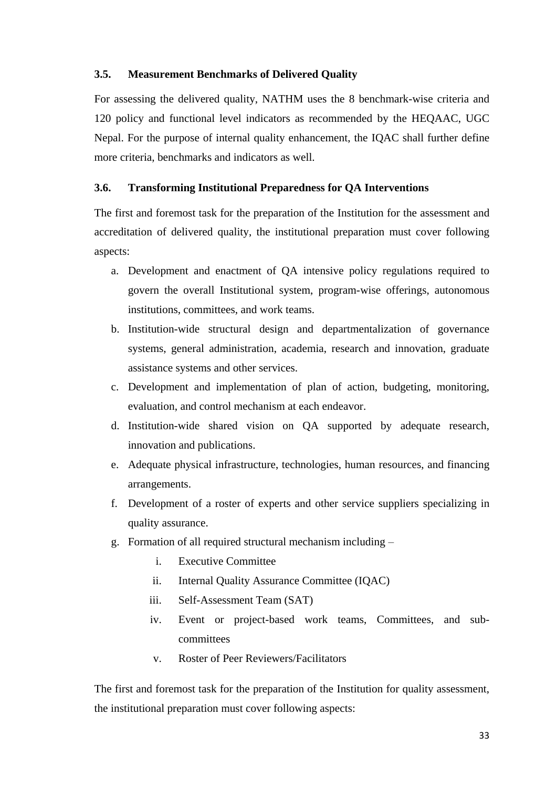#### **3.5. Measurement Benchmarks of Delivered Quality**

For assessing the delivered quality, NATHM uses the 8 benchmark-wise criteria and 120 policy and functional level indicators as recommended by the HEQAAC, UGC Nepal. For the purpose of internal quality enhancement, the IQAC shall further define more criteria, benchmarks and indicators as well.

#### **3.6. Transforming Institutional Preparedness for QA Interventions**

The first and foremost task for the preparation of the Institution for the assessment and accreditation of delivered quality, the institutional preparation must cover following aspects:

- a. Development and enactment of QA intensive policy regulations required to govern the overall Institutional system, program-wise offerings, autonomous institutions, committees, and work teams.
- b. Institution-wide structural design and departmentalization of governance systems, general administration, academia, research and innovation, graduate assistance systems and other services.
- c. Development and implementation of plan of action, budgeting, monitoring, evaluation, and control mechanism at each endeavor.
- d. Institution-wide shared vision on QA supported by adequate research, innovation and publications.
- e. Adequate physical infrastructure, technologies, human resources, and financing arrangements.
- f. Development of a roster of experts and other service suppliers specializing in quality assurance.
- g. Formation of all required structural mechanism including
	- i. Executive Committee
	- ii. Internal Quality Assurance Committee (IQAC)
	- iii. Self-Assessment Team (SAT)
	- iv. Event or project-based work teams, Committees, and subcommittees
	- v. Roster of Peer Reviewers/Facilitators

The first and foremost task for the preparation of the Institution for quality assessment, the institutional preparation must cover following aspects: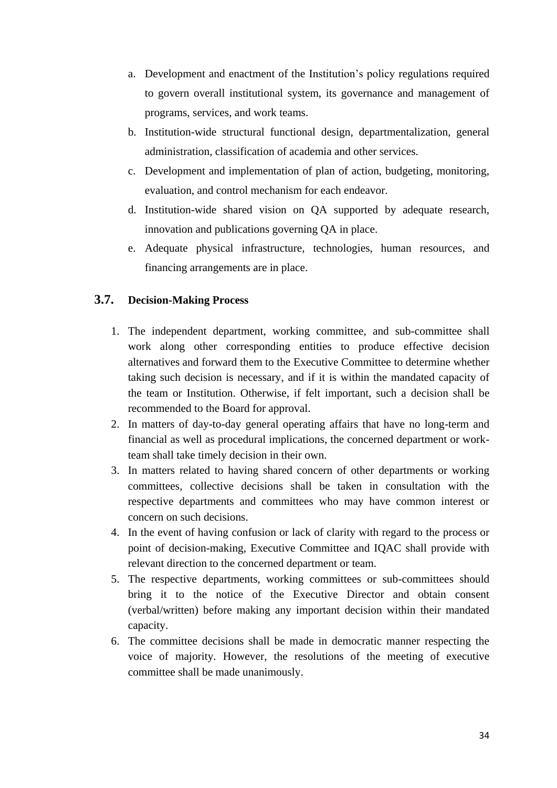- a. Development and enactment of the Institution's policy regulations required to govern overall institutional system, its governance and management of programs, services, and work teams.
- b. Institution-wide structural functional design, departmentalization, general administration, classification of academia and other services.
- c. Development and implementation of plan of action, budgeting, monitoring, evaluation, and control mechanism for each endeavor.
- d. Institution-wide shared vision on QA supported by adequate research, innovation and publications governing QA in place.
- e. Adequate physical infrastructure, technologies, human resources, and financing arrangements are in place.

# **3.7. Decision-Making Process**

- 1. The independent department, working committee, and sub-committee shall work along other corresponding entities to produce effective decision alternatives and forward them to the Executive Committee to determine whether taking such decision is necessary, and if it is within the mandated capacity of the team or Institution. Otherwise, if felt important, such a decision shall be recommended to the Board for approval.
- 2. In matters of day-to-day general operating affairs that have no long-term and financial as well as procedural implications, the concerned department or workteam shall take timely decision in their own.
- 3. In matters related to having shared concern of other departments or working committees, collective decisions shall be taken in consultation with the respective departments and committees who may have common interest or concern on such decisions.
- 4. In the event of having confusion or lack of clarity with regard to the process or point of decision-making, Executive Committee and IQAC shall provide with relevant direction to the concerned department or team.
- 5. The respective departments, working committees or sub-committees should bring it to the notice of the Executive Director and obtain consent (verbal/written) before making any important decision within their mandated capacity.
- 6. The committee decisions shall be made in democratic manner respecting the voice of majority. However, the resolutions of the meeting of executive committee shall be made unanimously.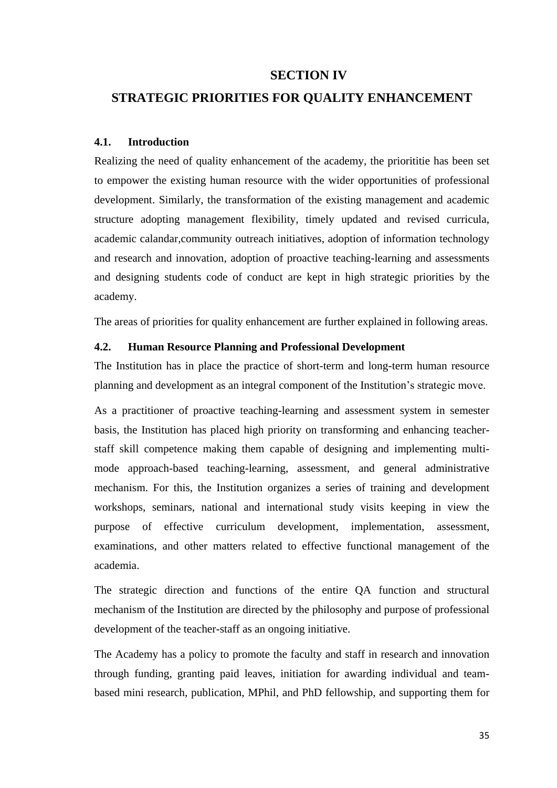## **SECTION IV**

## **STRATEGIC PRIORITIES FOR QUALITY ENHANCEMENT**

#### **4.1. Introduction**

Realizing the need of quality enhancement of the academy, the priorititie has been set to empower the existing human resource with the wider opportunities of professional development. Similarly, the transformation of the existing management and academic structure adopting management flexibility, timely updated and revised curricula, academic calandar,community outreach initiatives, adoption of information technology and research and innovation, adoption of proactive teaching-learning and assessments and designing students code of conduct are kept in high strategic priorities by the academy.

The areas of priorities for quality enhancement are further explained in following areas.

#### **4.2. Human Resource Planning and Professional Development**

The Institution has in place the practice of short-term and long-term human resource planning and development as an integral component of the Institution's strategic move.

As a practitioner of proactive teaching-learning and assessment system in semester basis, the Institution has placed high priority on transforming and enhancing teacherstaff skill competence making them capable of designing and implementing multimode approach-based teaching-learning, assessment, and general administrative mechanism. For this, the Institution organizes a series of training and development workshops, seminars, national and international study visits keeping in view the purpose of effective curriculum development, implementation, assessment, examinations, and other matters related to effective functional management of the academia.

The strategic direction and functions of the entire QA function and structural mechanism of the Institution are directed by the philosophy and purpose of professional development of the teacher-staff as an ongoing initiative.

The Academy has a policy to promote the faculty and staff in research and innovation through funding, granting paid leaves, initiation for awarding individual and teambased mini research, publication, MPhil, and PhD fellowship, and supporting them for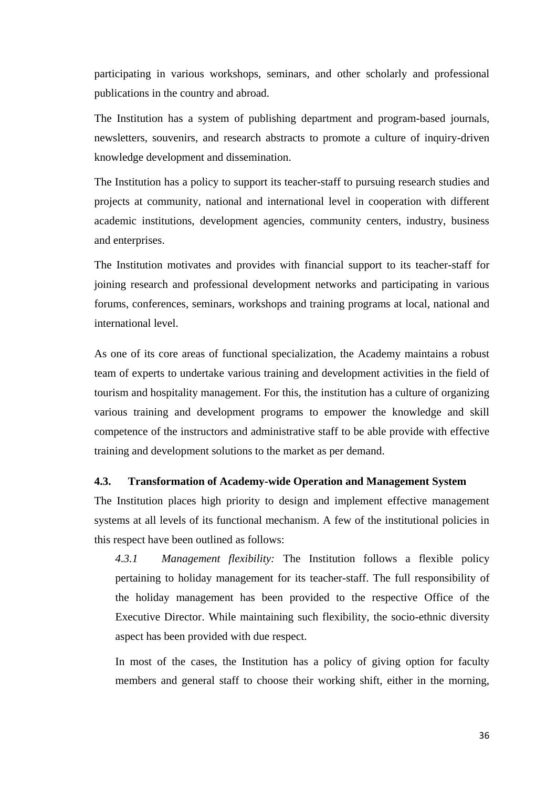participating in various workshops, seminars, and other scholarly and professional publications in the country and abroad.

The Institution has a system of publishing department and program-based journals, newsletters, souvenirs, and research abstracts to promote a culture of inquiry-driven knowledge development and dissemination.

The Institution has a policy to support its teacher-staff to pursuing research studies and projects at community, national and international level in cooperation with different academic institutions, development agencies, community centers, industry, business and enterprises.

The Institution motivates and provides with financial support to its teacher-staff for joining research and professional development networks and participating in various forums, conferences, seminars, workshops and training programs at local, national and international level.

As one of its core areas of functional specialization, the Academy maintains a robust team of experts to undertake various training and development activities in the field of tourism and hospitality management. For this, the institution has a culture of organizing various training and development programs to empower the knowledge and skill competence of the instructors and administrative staff to be able provide with effective training and development solutions to the market as per demand.

#### **4.3. Transformation of Academy-wide Operation and Management System**

The Institution places high priority to design and implement effective management systems at all levels of its functional mechanism. A few of the institutional policies in this respect have been outlined as follows:

*4.3.1 Management flexibility:* The Institution follows a flexible policy pertaining to holiday management for its teacher-staff. The full responsibility of the holiday management has been provided to the respective Office of the Executive Director. While maintaining such flexibility, the socio-ethnic diversity aspect has been provided with due respect.

In most of the cases, the Institution has a policy of giving option for faculty members and general staff to choose their working shift, either in the morning,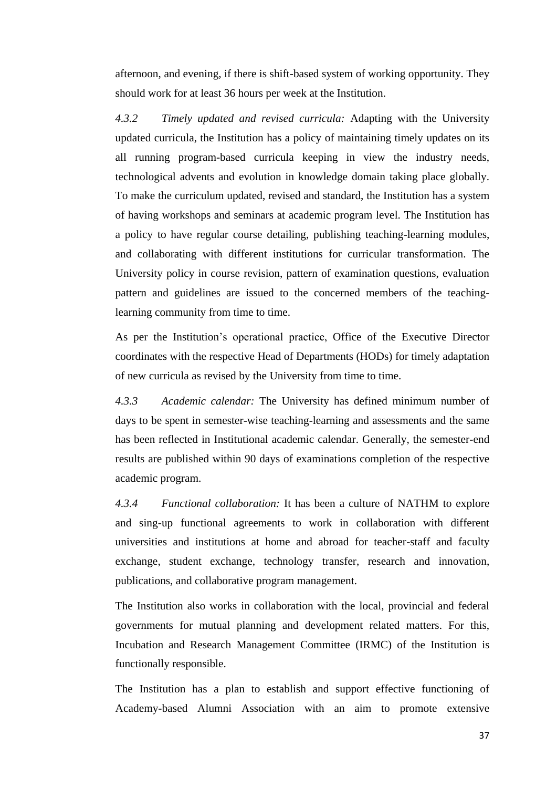afternoon, and evening, if there is shift-based system of working opportunity. They should work for at least 36 hours per week at the Institution.

*4.3.2 Timely updated and revised curricula:* Adapting with the University updated curricula, the Institution has a policy of maintaining timely updates on its all running program-based curricula keeping in view the industry needs, technological advents and evolution in knowledge domain taking place globally. To make the curriculum updated, revised and standard, the Institution has a system of having workshops and seminars at academic program level. The Institution has a policy to have regular course detailing, publishing teaching-learning modules, and collaborating with different institutions for curricular transformation. The University policy in course revision, pattern of examination questions, evaluation pattern and guidelines are issued to the concerned members of the teachinglearning community from time to time.

As per the Institution's operational practice, Office of the Executive Director coordinates with the respective Head of Departments (HODs) for timely adaptation of new curricula as revised by the University from time to time.

*4.3.3 Academic calendar:* The University has defined minimum number of days to be spent in semester-wise teaching-learning and assessments and the same has been reflected in Institutional academic calendar. Generally, the semester-end results are published within 90 days of examinations completion of the respective academic program.

*4.3.4 Functional collaboration:* It has been a culture of NATHM to explore and sing-up functional agreements to work in collaboration with different universities and institutions at home and abroad for teacher-staff and faculty exchange, student exchange, technology transfer, research and innovation, publications, and collaborative program management.

The Institution also works in collaboration with the local, provincial and federal governments for mutual planning and development related matters. For this, Incubation and Research Management Committee (IRMC) of the Institution is functionally responsible.

The Institution has a plan to establish and support effective functioning of Academy-based Alumni Association with an aim to promote extensive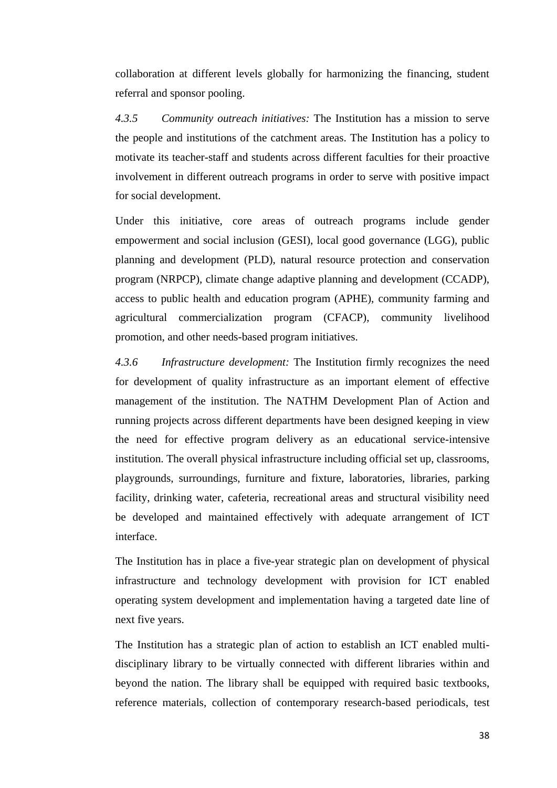collaboration at different levels globally for harmonizing the financing, student referral and sponsor pooling.

*4.3.5 Community outreach initiatives:* The Institution has a mission to serve the people and institutions of the catchment areas. The Institution has a policy to motivate its teacher-staff and students across different faculties for their proactive involvement in different outreach programs in order to serve with positive impact for social development.

Under this initiative, core areas of outreach programs include gender empowerment and social inclusion (GESI), local good governance (LGG), public planning and development (PLD), natural resource protection and conservation program (NRPCP), climate change adaptive planning and development (CCADP), access to public health and education program (APHE), community farming and agricultural commercialization program (CFACP), community livelihood promotion, and other needs-based program initiatives.

*4.3.6 Infrastructure development:* The Institution firmly recognizes the need for development of quality infrastructure as an important element of effective management of the institution. The NATHM Development Plan of Action and running projects across different departments have been designed keeping in view the need for effective program delivery as an educational service-intensive institution. The overall physical infrastructure including official set up, classrooms, playgrounds, surroundings, furniture and fixture, laboratories, libraries, parking facility, drinking water, cafeteria, recreational areas and structural visibility need be developed and maintained effectively with adequate arrangement of ICT interface.

The Institution has in place a five-year strategic plan on development of physical infrastructure and technology development with provision for ICT enabled operating system development and implementation having a targeted date line of next five years.

The Institution has a strategic plan of action to establish an ICT enabled multidisciplinary library to be virtually connected with different libraries within and beyond the nation. The library shall be equipped with required basic textbooks, reference materials, collection of contemporary research-based periodicals, test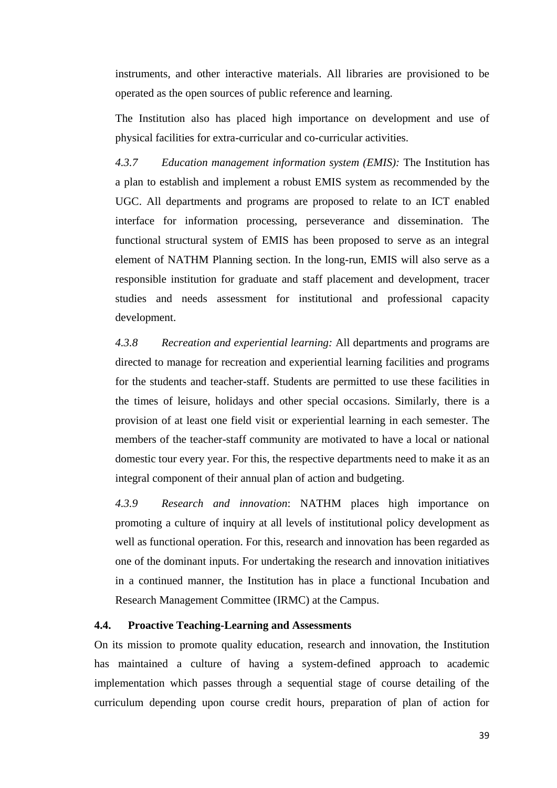instruments, and other interactive materials. All libraries are provisioned to be operated as the open sources of public reference and learning.

The Institution also has placed high importance on development and use of physical facilities for extra-curricular and co-curricular activities.

*4.3.7 Education management information system (EMIS):* The Institution has a plan to establish and implement a robust EMIS system as recommended by the UGC. All departments and programs are proposed to relate to an ICT enabled interface for information processing, perseverance and dissemination. The functional structural system of EMIS has been proposed to serve as an integral element of NATHM Planning section. In the long-run, EMIS will also serve as a responsible institution for graduate and staff placement and development, tracer studies and needs assessment for institutional and professional capacity development.

*4.3.8 Recreation and experiential learning:* All departments and programs are directed to manage for recreation and experiential learning facilities and programs for the students and teacher-staff. Students are permitted to use these facilities in the times of leisure, holidays and other special occasions. Similarly, there is a provision of at least one field visit or experiential learning in each semester. The members of the teacher-staff community are motivated to have a local or national domestic tour every year. For this, the respective departments need to make it as an integral component of their annual plan of action and budgeting.

*4.3.9 Research and innovation*: NATHM places high importance on promoting a culture of inquiry at all levels of institutional policy development as well as functional operation. For this, research and innovation has been regarded as one of the dominant inputs. For undertaking the research and innovation initiatives in a continued manner, the Institution has in place a functional Incubation and Research Management Committee (IRMC) at the Campus.

#### **4.4. Proactive Teaching-Learning and Assessments**

On its mission to promote quality education, research and innovation, the Institution has maintained a culture of having a system-defined approach to academic implementation which passes through a sequential stage of course detailing of the curriculum depending upon course credit hours, preparation of plan of action for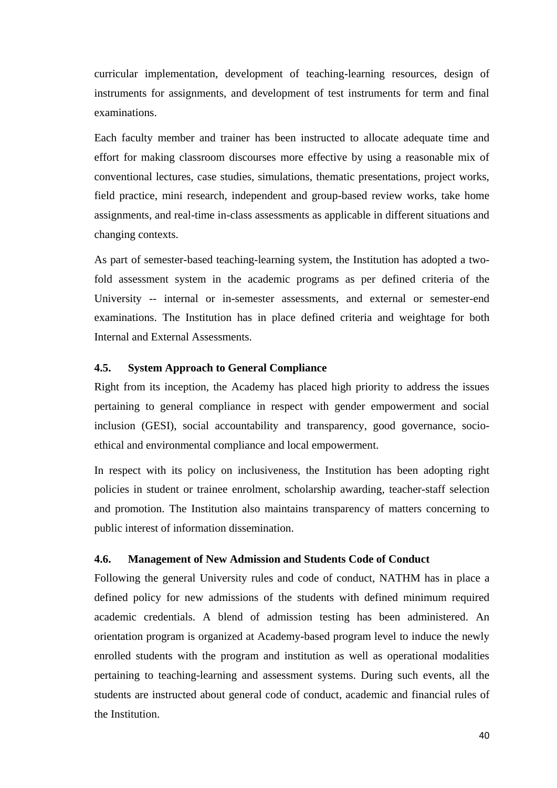curricular implementation, development of teaching-learning resources, design of instruments for assignments, and development of test instruments for term and final examinations.

Each faculty member and trainer has been instructed to allocate adequate time and effort for making classroom discourses more effective by using a reasonable mix of conventional lectures, case studies, simulations, thematic presentations, project works, field practice, mini research, independent and group-based review works, take home assignments, and real-time in-class assessments as applicable in different situations and changing contexts.

As part of semester-based teaching-learning system, the Institution has adopted a twofold assessment system in the academic programs as per defined criteria of the University -- internal or in-semester assessments, and external or semester-end examinations. The Institution has in place defined criteria and weightage for both Internal and External Assessments.

### **4.5. System Approach to General Compliance**

Right from its inception, the Academy has placed high priority to address the issues pertaining to general compliance in respect with gender empowerment and social inclusion (GESI), social accountability and transparency, good governance, socioethical and environmental compliance and local empowerment.

In respect with its policy on inclusiveness, the Institution has been adopting right policies in student or trainee enrolment, scholarship awarding, teacher-staff selection and promotion. The Institution also maintains transparency of matters concerning to public interest of information dissemination.

#### **4.6. Management of New Admission and Students Code of Conduct**

Following the general University rules and code of conduct, NATHM has in place a defined policy for new admissions of the students with defined minimum required academic credentials. A blend of admission testing has been administered. An orientation program is organized at Academy-based program level to induce the newly enrolled students with the program and institution as well as operational modalities pertaining to teaching-learning and assessment systems. During such events, all the students are instructed about general code of conduct, academic and financial rules of the Institution.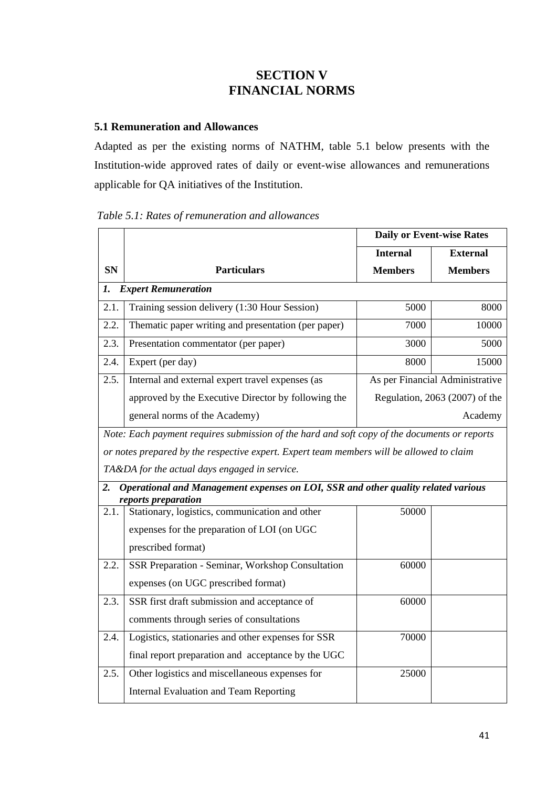# **SECTION V FINANCIAL NORMS**

## **5.1 Remuneration and Allowances**

Adapted as per the existing norms of NATHM, table 5.1 below presents with the Institution-wide approved rates of daily or event-wise allowances and remunerations applicable for QA initiatives of the Institution.

*Table 5.1: Rates of remuneration and allowances*

|                  |                                                                                                          | <b>Daily or Event-wise Rates</b> |                                 |
|------------------|----------------------------------------------------------------------------------------------------------|----------------------------------|---------------------------------|
|                  |                                                                                                          | <b>Internal</b>                  | <b>External</b>                 |
| <b>SN</b>        | <b>Particulars</b>                                                                                       | <b>Members</b>                   | <b>Members</b>                  |
| 1.               | <b>Expert Remuneration</b>                                                                               |                                  |                                 |
| 2.1.             | Training session delivery (1:30 Hour Session)                                                            | 5000                             | 8000                            |
| 2.2.             | Thematic paper writing and presentation (per paper)                                                      | 7000                             | 10000                           |
| 2.3.             | Presentation commentator (per paper)                                                                     | 3000                             | 5000                            |
| 2.4.             | Expert (per day)                                                                                         | 8000                             | 15000                           |
| 2.5.             | Internal and external expert travel expenses (as                                                         |                                  | As per Financial Administrative |
|                  | approved by the Executive Director by following the                                                      | Regulation, 2063 (2007) of the   |                                 |
|                  | general norms of the Academy)                                                                            | Academy                          |                                 |
|                  | Note: Each payment requires submission of the hard and soft copy of the documents or reports             |                                  |                                 |
|                  | or notes prepared by the respective expert. Expert team members will be allowed to claim                 |                                  |                                 |
|                  | TA&DA for the actual days engaged in service.                                                            |                                  |                                 |
| $\overline{2}$ . | Operational and Management expenses on LOI, SSR and other quality related various<br>reports preparation |                                  |                                 |
| 2.1.             | Stationary, logistics, communication and other                                                           | 50000                            |                                 |
|                  | expenses for the preparation of LOI (on UGC                                                              |                                  |                                 |
|                  | prescribed format)                                                                                       |                                  |                                 |
| 2.2.             | SSR Preparation - Seminar, Workshop Consultation                                                         | 60000                            |                                 |
|                  | expenses (on UGC prescribed format)                                                                      |                                  |                                 |
| 2.3.             | SSR first draft submission and acceptance of                                                             | 60000                            |                                 |
|                  | comments through series of consultations                                                                 |                                  |                                 |
| 2.4.             | Logistics, stationaries and other expenses for SSR                                                       | 70000                            |                                 |
|                  | final report preparation and acceptance by the UGC                                                       |                                  |                                 |
| 2.5.             | Other logistics and miscellaneous expenses for                                                           | 25000                            |                                 |
|                  | <b>Internal Evaluation and Team Reporting</b>                                                            |                                  |                                 |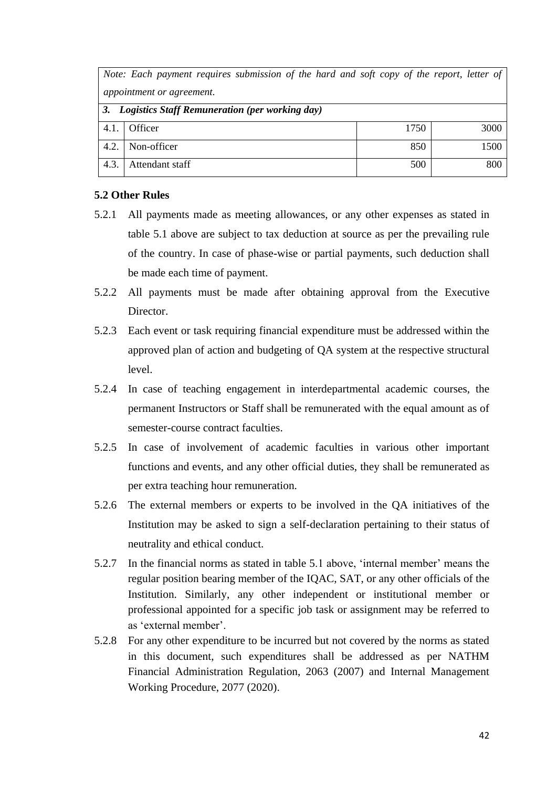|                                                   | Note: Each payment requires submission of the hard and soft copy of the report, letter of |      |      |
|---------------------------------------------------|-------------------------------------------------------------------------------------------|------|------|
| appointment or agreement.                         |                                                                                           |      |      |
| 3. Logistics Staff Remuneration (per working day) |                                                                                           |      |      |
| 4.1.                                              | Officer                                                                                   | 1750 | 3000 |
| 4.2.                                              | Non-officer                                                                               | 850  | 1500 |
| 4.3.                                              | Attendant staff                                                                           | 500  | 800  |

#### **5.2 Other Rules**

- 5.2.1 All payments made as meeting allowances, or any other expenses as stated in table 5.1 above are subject to tax deduction at source as per the prevailing rule of the country. In case of phase-wise or partial payments, such deduction shall be made each time of payment.
- 5.2.2 All payments must be made after obtaining approval from the Executive Director.
- 5.2.3 Each event or task requiring financial expenditure must be addressed within the approved plan of action and budgeting of QA system at the respective structural level.
- 5.2.4 In case of teaching engagement in interdepartmental academic courses, the permanent Instructors or Staff shall be remunerated with the equal amount as of semester-course contract faculties.
- 5.2.5 In case of involvement of academic faculties in various other important functions and events, and any other official duties, they shall be remunerated as per extra teaching hour remuneration.
- 5.2.6 The external members or experts to be involved in the QA initiatives of the Institution may be asked to sign a self-declaration pertaining to their status of neutrality and ethical conduct.
- 5.2.7 In the financial norms as stated in table 5.1 above, 'internal member' means the regular position bearing member of the IQAC, SAT, or any other officials of the Institution. Similarly, any other independent or institutional member or professional appointed for a specific job task or assignment may be referred to as 'external member'.
- 5.2.8 For any other expenditure to be incurred but not covered by the norms as stated in this document, such expenditures shall be addressed as per NATHM Financial Administration Regulation, 2063 (2007) and Internal Management Working Procedure, 2077 (2020).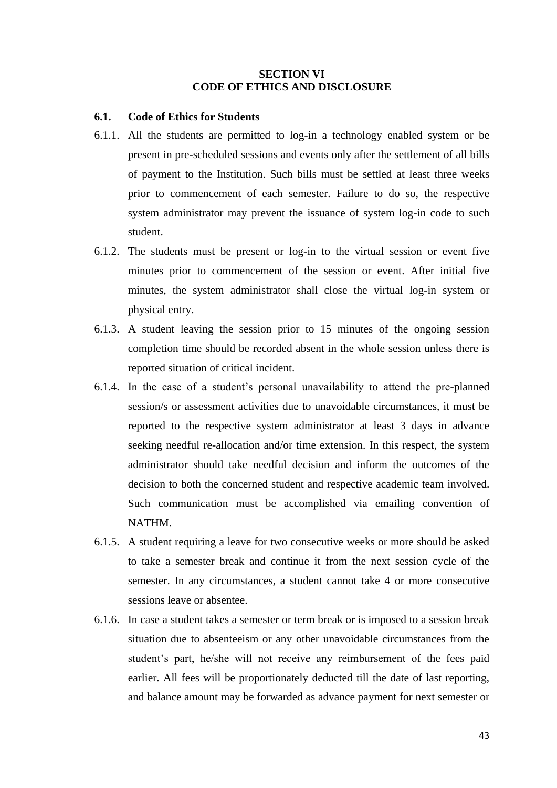#### **SECTION VI CODE OF ETHICS AND DISCLOSURE**

#### **6.1. Code of Ethics for Students**

- 6.1.1. All the students are permitted to log-in a technology enabled system or be present in pre-scheduled sessions and events only after the settlement of all bills of payment to the Institution. Such bills must be settled at least three weeks prior to commencement of each semester. Failure to do so, the respective system administrator may prevent the issuance of system log-in code to such student.
- 6.1.2. The students must be present or log-in to the virtual session or event five minutes prior to commencement of the session or event. After initial five minutes, the system administrator shall close the virtual log-in system or physical entry.
- 6.1.3. A student leaving the session prior to 15 minutes of the ongoing session completion time should be recorded absent in the whole session unless there is reported situation of critical incident.
- 6.1.4. In the case of a student's personal unavailability to attend the pre-planned session/s or assessment activities due to unavoidable circumstances, it must be reported to the respective system administrator at least 3 days in advance seeking needful re-allocation and/or time extension. In this respect, the system administrator should take needful decision and inform the outcomes of the decision to both the concerned student and respective academic team involved. Such communication must be accomplished via emailing convention of NATHM.
- 6.1.5. A student requiring a leave for two consecutive weeks or more should be asked to take a semester break and continue it from the next session cycle of the semester. In any circumstances, a student cannot take 4 or more consecutive sessions leave or absentee.
- 6.1.6. In case a student takes a semester or term break or is imposed to a session break situation due to absenteeism or any other unavoidable circumstances from the student's part, he/she will not receive any reimbursement of the fees paid earlier. All fees will be proportionately deducted till the date of last reporting, and balance amount may be forwarded as advance payment for next semester or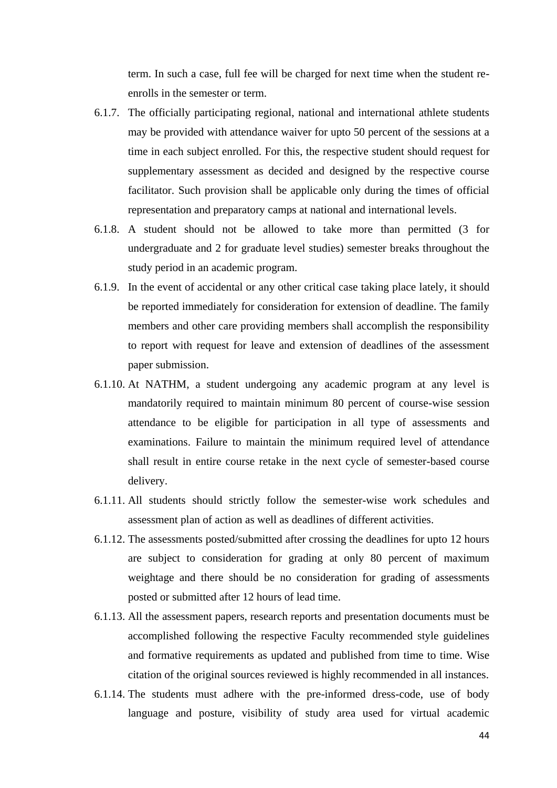term. In such a case, full fee will be charged for next time when the student reenrolls in the semester or term.

- 6.1.7. The officially participating regional, national and international athlete students may be provided with attendance waiver for upto 50 percent of the sessions at a time in each subject enrolled. For this, the respective student should request for supplementary assessment as decided and designed by the respective course facilitator. Such provision shall be applicable only during the times of official representation and preparatory camps at national and international levels.
- 6.1.8. A student should not be allowed to take more than permitted (3 for undergraduate and 2 for graduate level studies) semester breaks throughout the study period in an academic program.
- 6.1.9. In the event of accidental or any other critical case taking place lately, it should be reported immediately for consideration for extension of deadline. The family members and other care providing members shall accomplish the responsibility to report with request for leave and extension of deadlines of the assessment paper submission.
- 6.1.10. At NATHM, a student undergoing any academic program at any level is mandatorily required to maintain minimum 80 percent of course-wise session attendance to be eligible for participation in all type of assessments and examinations. Failure to maintain the minimum required level of attendance shall result in entire course retake in the next cycle of semester-based course delivery.
- 6.1.11. All students should strictly follow the semester-wise work schedules and assessment plan of action as well as deadlines of different activities.
- 6.1.12. The assessments posted/submitted after crossing the deadlines for upto 12 hours are subject to consideration for grading at only 80 percent of maximum weightage and there should be no consideration for grading of assessments posted or submitted after 12 hours of lead time.
- 6.1.13. All the assessment papers, research reports and presentation documents must be accomplished following the respective Faculty recommended style guidelines and formative requirements as updated and published from time to time. Wise citation of the original sources reviewed is highly recommended in all instances.
- 6.1.14. The students must adhere with the pre-informed dress-code, use of body language and posture, visibility of study area used for virtual academic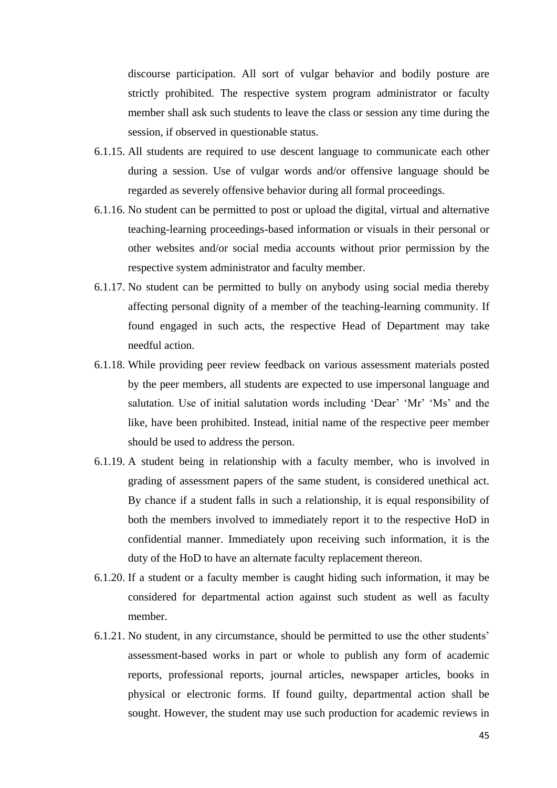discourse participation. All sort of vulgar behavior and bodily posture are strictly prohibited. The respective system program administrator or faculty member shall ask such students to leave the class or session any time during the session, if observed in questionable status.

- 6.1.15. All students are required to use descent language to communicate each other during a session. Use of vulgar words and/or offensive language should be regarded as severely offensive behavior during all formal proceedings.
- 6.1.16. No student can be permitted to post or upload the digital, virtual and alternative teaching-learning proceedings-based information or visuals in their personal or other websites and/or social media accounts without prior permission by the respective system administrator and faculty member.
- 6.1.17. No student can be permitted to bully on anybody using social media thereby affecting personal dignity of a member of the teaching-learning community. If found engaged in such acts, the respective Head of Department may take needful action.
- 6.1.18. While providing peer review feedback on various assessment materials posted by the peer members, all students are expected to use impersonal language and salutation. Use of initial salutation words including 'Dear' 'Mr' 'Ms' and the like, have been prohibited. Instead, initial name of the respective peer member should be used to address the person.
- 6.1.19. A student being in relationship with a faculty member, who is involved in grading of assessment papers of the same student, is considered unethical act. By chance if a student falls in such a relationship, it is equal responsibility of both the members involved to immediately report it to the respective HoD in confidential manner. Immediately upon receiving such information, it is the duty of the HoD to have an alternate faculty replacement thereon.
- 6.1.20. If a student or a faculty member is caught hiding such information, it may be considered for departmental action against such student as well as faculty member.
- 6.1.21. No student, in any circumstance, should be permitted to use the other students' assessment-based works in part or whole to publish any form of academic reports, professional reports, journal articles, newspaper articles, books in physical or electronic forms. If found guilty, departmental action shall be sought. However, the student may use such production for academic reviews in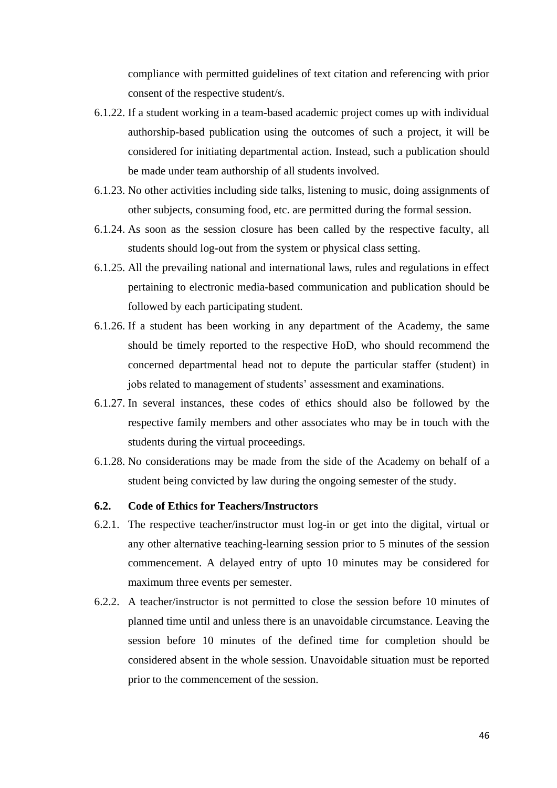compliance with permitted guidelines of text citation and referencing with prior consent of the respective student/s.

- 6.1.22. If a student working in a team-based academic project comes up with individual authorship-based publication using the outcomes of such a project, it will be considered for initiating departmental action. Instead, such a publication should be made under team authorship of all students involved.
- 6.1.23. No other activities including side talks, listening to music, doing assignments of other subjects, consuming food, etc. are permitted during the formal session.
- 6.1.24. As soon as the session closure has been called by the respective faculty, all students should log-out from the system or physical class setting.
- 6.1.25. All the prevailing national and international laws, rules and regulations in effect pertaining to electronic media-based communication and publication should be followed by each participating student.
- 6.1.26. If a student has been working in any department of the Academy, the same should be timely reported to the respective HoD, who should recommend the concerned departmental head not to depute the particular staffer (student) in jobs related to management of students' assessment and examinations.
- 6.1.27. In several instances, these codes of ethics should also be followed by the respective family members and other associates who may be in touch with the students during the virtual proceedings.
- 6.1.28. No considerations may be made from the side of the Academy on behalf of a student being convicted by law during the ongoing semester of the study.

#### **6.2. Code of Ethics for Teachers/Instructors**

- 6.2.1. The respective teacher/instructor must log-in or get into the digital, virtual or any other alternative teaching-learning session prior to 5 minutes of the session commencement. A delayed entry of upto 10 minutes may be considered for maximum three events per semester.
- 6.2.2. A teacher/instructor is not permitted to close the session before 10 minutes of planned time until and unless there is an unavoidable circumstance. Leaving the session before 10 minutes of the defined time for completion should be considered absent in the whole session. Unavoidable situation must be reported prior to the commencement of the session.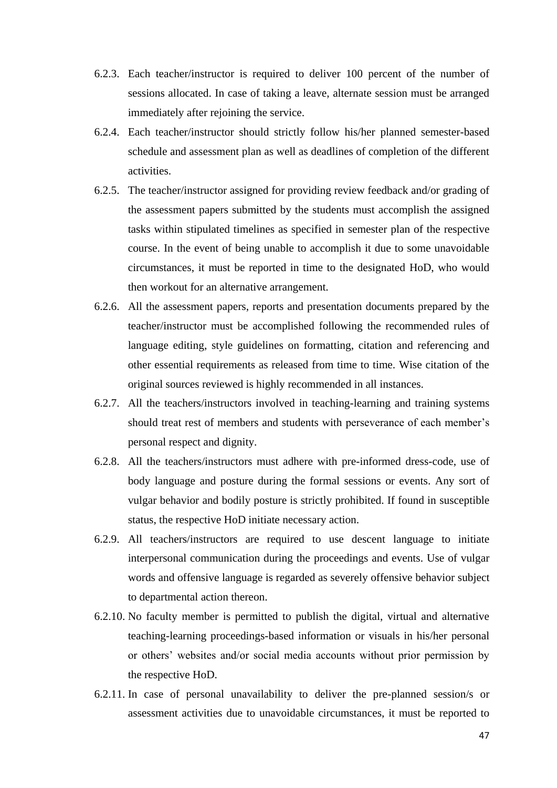- 6.2.3. Each teacher/instructor is required to deliver 100 percent of the number of sessions allocated. In case of taking a leave, alternate session must be arranged immediately after rejoining the service.
- 6.2.4. Each teacher/instructor should strictly follow his/her planned semester-based schedule and assessment plan as well as deadlines of completion of the different activities.
- 6.2.5. The teacher/instructor assigned for providing review feedback and/or grading of the assessment papers submitted by the students must accomplish the assigned tasks within stipulated timelines as specified in semester plan of the respective course. In the event of being unable to accomplish it due to some unavoidable circumstances, it must be reported in time to the designated HoD, who would then workout for an alternative arrangement.
- 6.2.6. All the assessment papers, reports and presentation documents prepared by the teacher/instructor must be accomplished following the recommended rules of language editing, style guidelines on formatting, citation and referencing and other essential requirements as released from time to time. Wise citation of the original sources reviewed is highly recommended in all instances.
- 6.2.7. All the teachers/instructors involved in teaching-learning and training systems should treat rest of members and students with perseverance of each member's personal respect and dignity.
- 6.2.8. All the teachers/instructors must adhere with pre-informed dress-code, use of body language and posture during the formal sessions or events. Any sort of vulgar behavior and bodily posture is strictly prohibited. If found in susceptible status, the respective HoD initiate necessary action.
- 6.2.9. All teachers/instructors are required to use descent language to initiate interpersonal communication during the proceedings and events. Use of vulgar words and offensive language is regarded as severely offensive behavior subject to departmental action thereon.
- 6.2.10. No faculty member is permitted to publish the digital, virtual and alternative teaching-learning proceedings-based information or visuals in his/her personal or others' websites and/or social media accounts without prior permission by the respective HoD.
- 6.2.11. In case of personal unavailability to deliver the pre-planned session/s or assessment activities due to unavoidable circumstances, it must be reported to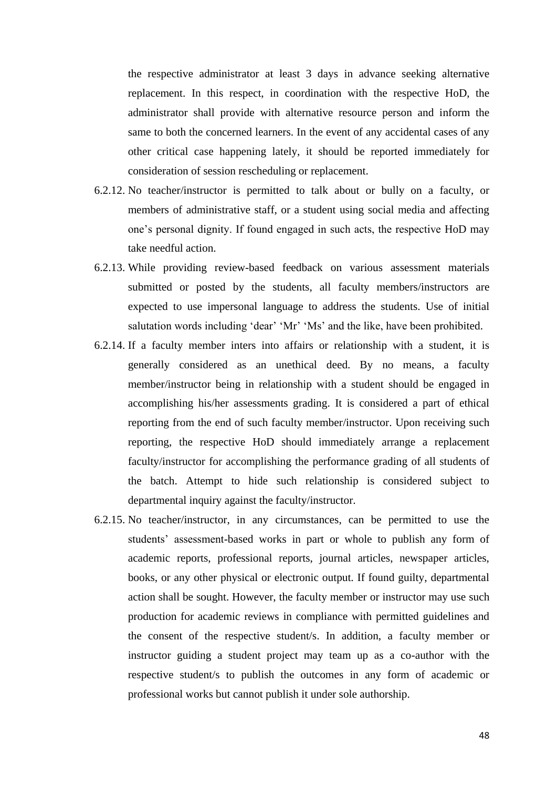the respective administrator at least 3 days in advance seeking alternative replacement. In this respect, in coordination with the respective HoD, the administrator shall provide with alternative resource person and inform the same to both the concerned learners. In the event of any accidental cases of any other critical case happening lately, it should be reported immediately for consideration of session rescheduling or replacement.

- 6.2.12. No teacher/instructor is permitted to talk about or bully on a faculty, or members of administrative staff, or a student using social media and affecting one's personal dignity. If found engaged in such acts, the respective HoD may take needful action.
- 6.2.13. While providing review-based feedback on various assessment materials submitted or posted by the students, all faculty members/instructors are expected to use impersonal language to address the students. Use of initial salutation words including 'dear' 'Mr' 'Ms' and the like, have been prohibited.
- 6.2.14. If a faculty member inters into affairs or relationship with a student, it is generally considered as an unethical deed. By no means, a faculty member/instructor being in relationship with a student should be engaged in accomplishing his/her assessments grading. It is considered a part of ethical reporting from the end of such faculty member/instructor. Upon receiving such reporting, the respective HoD should immediately arrange a replacement faculty/instructor for accomplishing the performance grading of all students of the batch. Attempt to hide such relationship is considered subject to departmental inquiry against the faculty/instructor.
- 6.2.15. No teacher/instructor, in any circumstances, can be permitted to use the students' assessment-based works in part or whole to publish any form of academic reports, professional reports, journal articles, newspaper articles, books, or any other physical or electronic output. If found guilty, departmental action shall be sought. However, the faculty member or instructor may use such production for academic reviews in compliance with permitted guidelines and the consent of the respective student/s. In addition, a faculty member or instructor guiding a student project may team up as a co-author with the respective student/s to publish the outcomes in any form of academic or professional works but cannot publish it under sole authorship.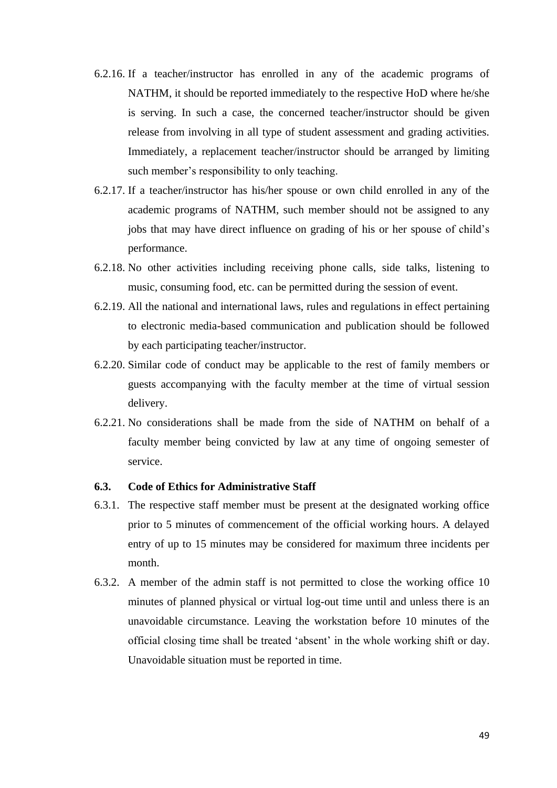- 6.2.16. If a teacher/instructor has enrolled in any of the academic programs of NATHM, it should be reported immediately to the respective HoD where he/she is serving. In such a case, the concerned teacher/instructor should be given release from involving in all type of student assessment and grading activities. Immediately, a replacement teacher/instructor should be arranged by limiting such member's responsibility to only teaching.
- 6.2.17. If a teacher/instructor has his/her spouse or own child enrolled in any of the academic programs of NATHM, such member should not be assigned to any jobs that may have direct influence on grading of his or her spouse of child's performance.
- 6.2.18. No other activities including receiving phone calls, side talks, listening to music, consuming food, etc. can be permitted during the session of event.
- 6.2.19. All the national and international laws, rules and regulations in effect pertaining to electronic media-based communication and publication should be followed by each participating teacher/instructor.
- 6.2.20. Similar code of conduct may be applicable to the rest of family members or guests accompanying with the faculty member at the time of virtual session delivery.
- 6.2.21. No considerations shall be made from the side of NATHM on behalf of a faculty member being convicted by law at any time of ongoing semester of service.

## **6.3. Code of Ethics for Administrative Staff**

- 6.3.1. The respective staff member must be present at the designated working office prior to 5 minutes of commencement of the official working hours. A delayed entry of up to 15 minutes may be considered for maximum three incidents per month.
- 6.3.2. A member of the admin staff is not permitted to close the working office 10 minutes of planned physical or virtual log-out time until and unless there is an unavoidable circumstance. Leaving the workstation before 10 minutes of the official closing time shall be treated 'absent' in the whole working shift or day. Unavoidable situation must be reported in time.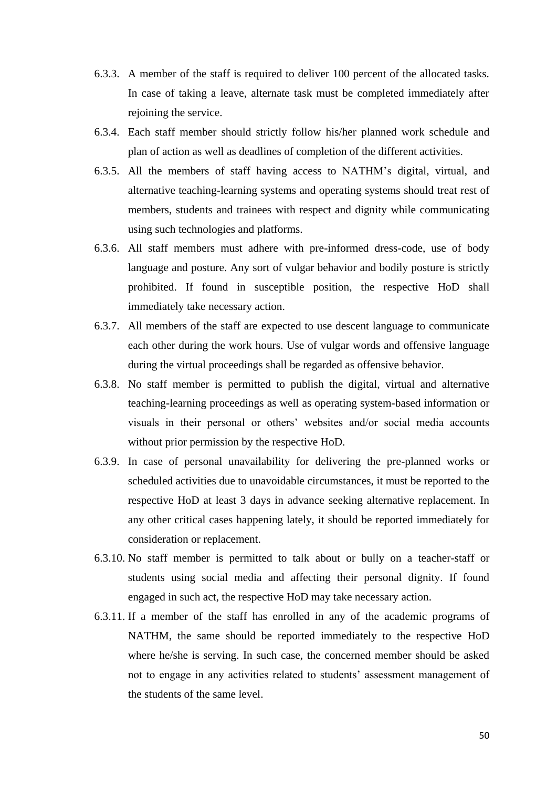- 6.3.3. A member of the staff is required to deliver 100 percent of the allocated tasks. In case of taking a leave, alternate task must be completed immediately after rejoining the service.
- 6.3.4. Each staff member should strictly follow his/her planned work schedule and plan of action as well as deadlines of completion of the different activities.
- 6.3.5. All the members of staff having access to NATHM's digital, virtual, and alternative teaching-learning systems and operating systems should treat rest of members, students and trainees with respect and dignity while communicating using such technologies and platforms.
- 6.3.6. All staff members must adhere with pre-informed dress-code, use of body language and posture. Any sort of vulgar behavior and bodily posture is strictly prohibited. If found in susceptible position, the respective HoD shall immediately take necessary action.
- 6.3.7. All members of the staff are expected to use descent language to communicate each other during the work hours. Use of vulgar words and offensive language during the virtual proceedings shall be regarded as offensive behavior.
- 6.3.8. No staff member is permitted to publish the digital, virtual and alternative teaching-learning proceedings as well as operating system-based information or visuals in their personal or others' websites and/or social media accounts without prior permission by the respective HoD.
- 6.3.9. In case of personal unavailability for delivering the pre-planned works or scheduled activities due to unavoidable circumstances, it must be reported to the respective HoD at least 3 days in advance seeking alternative replacement. In any other critical cases happening lately, it should be reported immediately for consideration or replacement.
- 6.3.10. No staff member is permitted to talk about or bully on a teacher-staff or students using social media and affecting their personal dignity. If found engaged in such act, the respective HoD may take necessary action.
- 6.3.11. If a member of the staff has enrolled in any of the academic programs of NATHM, the same should be reported immediately to the respective HoD where he/she is serving. In such case, the concerned member should be asked not to engage in any activities related to students' assessment management of the students of the same level.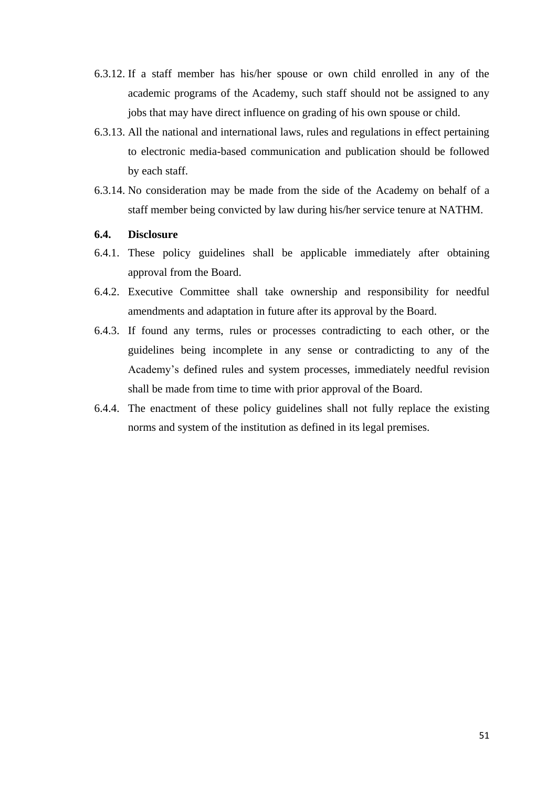- 6.3.12. If a staff member has his/her spouse or own child enrolled in any of the academic programs of the Academy, such staff should not be assigned to any jobs that may have direct influence on grading of his own spouse or child.
- 6.3.13. All the national and international laws, rules and regulations in effect pertaining to electronic media-based communication and publication should be followed by each staff.
- 6.3.14. No consideration may be made from the side of the Academy on behalf of a staff member being convicted by law during his/her service tenure at NATHM.

#### **6.4. Disclosure**

- 6.4.1. These policy guidelines shall be applicable immediately after obtaining approval from the Board.
- 6.4.2. Executive Committee shall take ownership and responsibility for needful amendments and adaptation in future after its approval by the Board.
- 6.4.3. If found any terms, rules or processes contradicting to each other, or the guidelines being incomplete in any sense or contradicting to any of the Academy's defined rules and system processes, immediately needful revision shall be made from time to time with prior approval of the Board.
- 6.4.4. The enactment of these policy guidelines shall not fully replace the existing norms and system of the institution as defined in its legal premises.